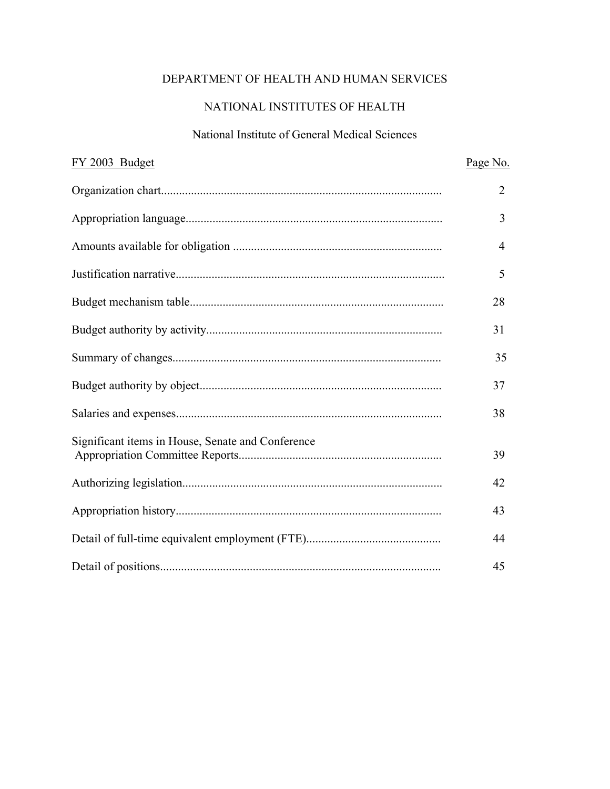# DEPARTMENT OF HEALTH AND HUMAN SERVICES

### NATIONAL INSTITUTES OF HEALTH

#### National Institute of General Medical Sciences

| FY 2003 Budget                                    | Page No.       |
|---------------------------------------------------|----------------|
|                                                   | $\overline{2}$ |
|                                                   | 3              |
|                                                   | 4              |
|                                                   | 5              |
|                                                   | 28             |
|                                                   | 31             |
|                                                   | 35             |
|                                                   | 37             |
|                                                   | 38             |
| Significant items in House, Senate and Conference | 39             |
|                                                   | 42             |
|                                                   | 43             |
|                                                   | 44             |
|                                                   | 45             |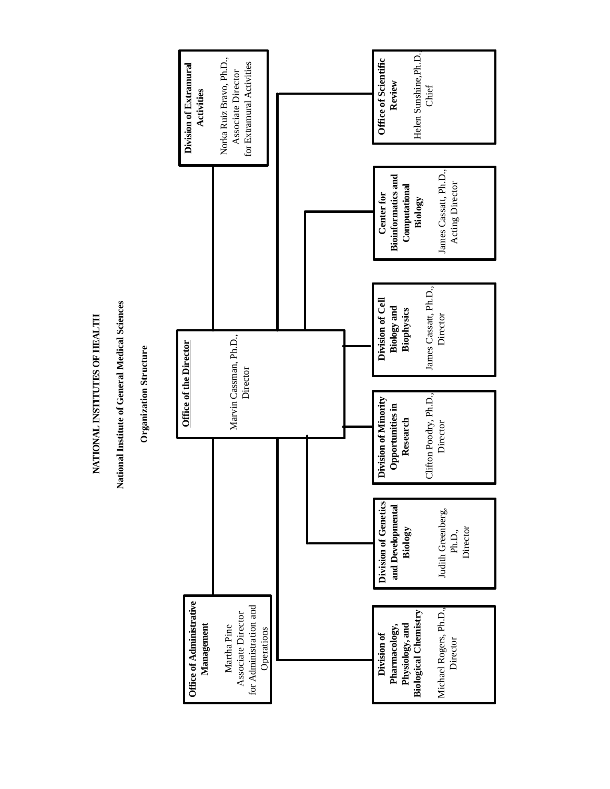**NATIONAL INSTITUTES OF HEALTH** NATIONAL INSTITUTES OF HEALTH

**National Institute of General Medical Sciences** National Institute of General Medical Sciences

**Organization Structure Organization Structure** 

<span id="page-1-0"></span>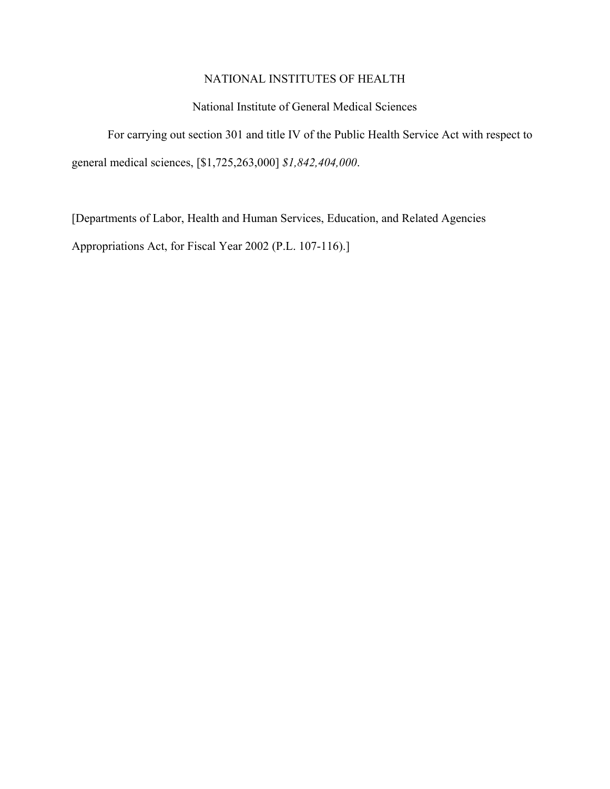#### National Institute of General Medical Sciences

<span id="page-2-0"></span>For carrying out section 301 and title IV of the Public Health Service Act with respect to general medical sciences, [\$1,725,263,000] *\$1,842,404,000*.

[Departments of Labor, Health and Human Services, Education, and Related Agencies Appropriations Act, for Fiscal Year 2002 (P.L. 107-116).]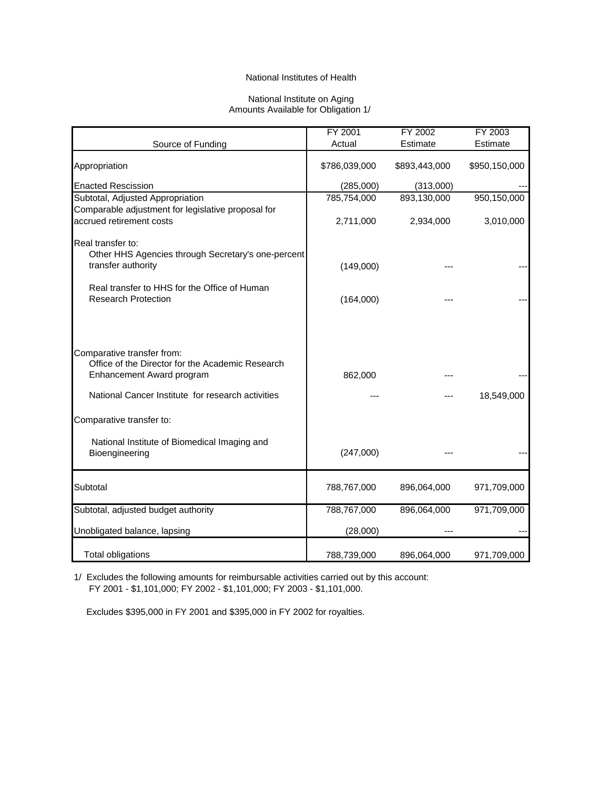#### National Institute on Aging Amounts Available for Obligation 1/

<span id="page-3-0"></span>

|                                                    | FY 2001       | FY 2002       | FY 2003       |
|----------------------------------------------------|---------------|---------------|---------------|
| Source of Funding                                  | Actual        | Estimate      | Estimate      |
| Appropriation                                      | \$786,039,000 | \$893,443,000 | \$950,150,000 |
| <b>Enacted Rescission</b>                          | (285,000)     | (313,000)     |               |
| Subtotal, Adjusted Appropriation                   | 785,754,000   | 893,130,000   | 950,150,000   |
| Comparable adjustment for legislative proposal for |               |               |               |
| accrued retirement costs                           | 2,711,000     | 2,934,000     | 3,010,000     |
| Real transfer to:                                  |               |               |               |
| Other HHS Agencies through Secretary's one-percent |               |               |               |
| transfer authority                                 | (149,000)     |               |               |
| Real transfer to HHS for the Office of Human       |               |               |               |
| <b>Research Protection</b>                         | (164,000)     |               |               |
|                                                    |               |               |               |
|                                                    |               |               |               |
|                                                    |               |               |               |
| Comparative transfer from:                         |               |               |               |
| Office of the Director for the Academic Research   |               |               |               |
| Enhancement Award program                          | 862,000       |               |               |
| National Cancer Institute for research activities  |               |               | 18,549,000    |
|                                                    |               |               |               |
| Comparative transfer to:                           |               |               |               |
| National Institute of Biomedical Imaging and       |               |               |               |
| Bioengineering                                     | (247,000)     |               |               |
|                                                    |               |               |               |
|                                                    |               |               |               |
| Subtotal                                           | 788,767,000   | 896,064,000   | 971,709,000   |
| Subtotal, adjusted budget authority                | 788,767,000   | 896,064,000   | 971,709,000   |
| Unobligated balance, lapsing                       | (28,000)      |               |               |
|                                                    |               |               |               |
| <b>Total obligations</b>                           | 788,739,000   | 896,064,000   | 971,709,000   |

1/ Excludes the following amounts for reimbursable activities carried out by this account: FY 2001 - \$1,101,000; FY 2002 - \$1,101,000; FY 2003 - \$1,101,000.

Excludes \$395,000 in FY 2001 and \$395,000 in FY 2002 for royalties.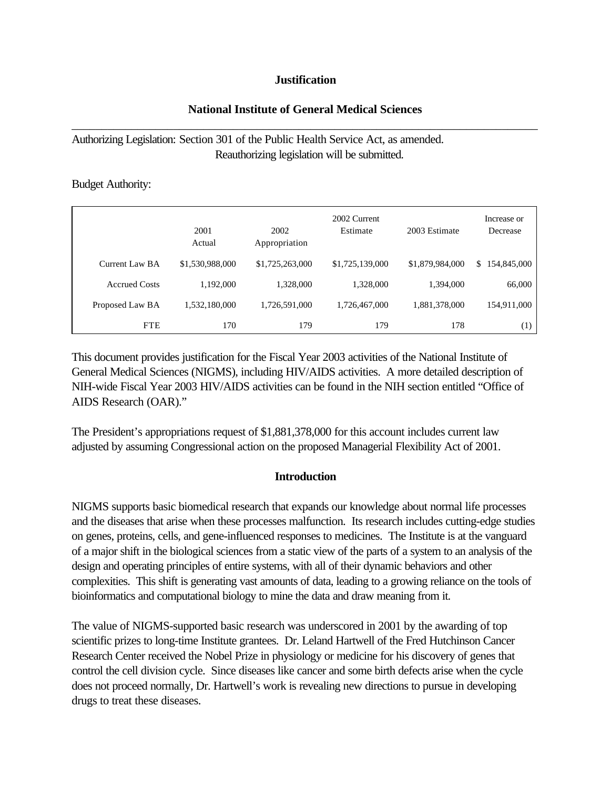### **Justification**

# <span id="page-4-0"></span>\_\_\_\_\_\_\_\_\_\_\_\_\_\_\_\_\_\_\_\_\_\_\_\_\_\_\_\_\_\_\_\_\_\_\_\_\_\_\_\_\_\_\_\_\_\_\_\_\_\_\_\_\_\_\_\_\_\_\_\_\_\_\_\_\_\_\_\_\_\_\_\_\_\_\_\_\_\_ **National Institute of General Medical Sciences**

# Authorizing Legislation: Section 301 of the Public Health Service Act, as amended. Reauthorizing legislation will be submitted.

### Budget Authority:

|                       | 2001<br>Actual  | 2002<br>Appropriation | 2002 Current<br>Estimate | 2003 Estimate   | Increase or<br>Decrease |
|-----------------------|-----------------|-----------------------|--------------------------|-----------------|-------------------------|
| <b>Current Law BA</b> | \$1,530,988,000 | \$1,725,263,000       | \$1,725,139,000          | \$1,879,984,000 | 154,845,000<br>\$       |
| <b>Accrued Costs</b>  | 1,192,000       | 1,328,000             | 1,328,000                | 1,394,000       | 66,000                  |
| Proposed Law BA       | 1,532,180,000   | 1,726,591,000         | 1,726,467,000            | 1,881,378,000   | 154,911,000             |
| <b>FTE</b>            | 170             | 179                   | 179                      | 178             | (1)                     |

This document provides justification for the Fiscal Year 2003 activities of the National Institute of General Medical Sciences (NIGMS), including HIV/AIDS activities. A more detailed description of NIH-wide Fiscal Year 2003 HIV/AIDS activities can be found in the NIH section entitled "Office of AIDS Research (OAR)."

The President's appropriations request of \$1,881,378,000 for this account includes current law adjusted by assuming Congressional action on the proposed Managerial Flexibility Act of 2001.

# **Introduction**

NIGMS supports basic biomedical research that expands our knowledge about normal life processes and the diseases that arise when these processes malfunction. Its research includes cutting-edge studies on genes, proteins, cells, and gene-influenced responses to medicines. The Institute is at the vanguard of a major shift in the biological sciences from a static view of the parts of a system to an analysis of the design and operating principles of entire systems, with all of their dynamic behaviors and other complexities. This shift is generating vast amounts of data, leading to a growing reliance on the tools of bioinformatics and computational biology to mine the data and draw meaning from it.

The value of NIGMS-supported basic research was underscored in 2001 by the awarding of top scientific prizes to long-time Institute grantees. Dr. Leland Hartwell of the Fred Hutchinson Cancer Research Center received the Nobel Prize in physiology or medicine for his discovery of genes that control the cell division cycle. Since diseases like cancer and some birth defects arise when the cycle does not proceed normally, Dr. Hartwell's work is revealing new directions to pursue in developing drugs to treat these diseases.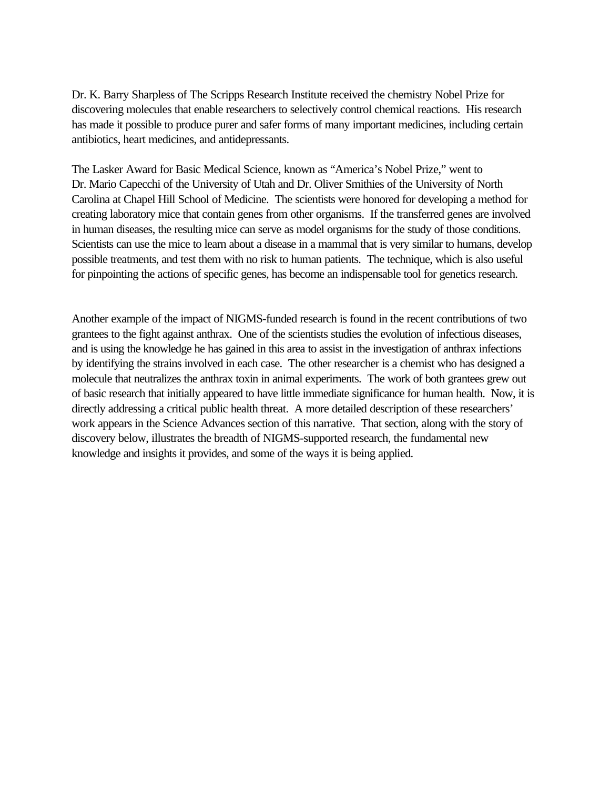Dr. K. Barry Sharpless of The Scripps Research Institute received the chemistry Nobel Prize for discovering molecules that enable researchers to selectively control chemical reactions. His research has made it possible to produce purer and safer forms of many important medicines, including certain antibiotics, heart medicines, and antidepressants.

The Lasker Award for Basic Medical Science, known as "America's Nobel Prize," went to Dr. Mario Capecchi of the University of Utah and Dr. Oliver Smithies of the University of North Carolina at Chapel Hill School of Medicine. The scientists were honored for developing a method for creating laboratory mice that contain genes from other organisms. If the transferred genes are involved in human diseases, the resulting mice can serve as model organisms for the study of those conditions. Scientists can use the mice to learn about a disease in a mammal that is very similar to humans, develop possible treatments, and test them with no risk to human patients. The technique, which is also useful for pinpointing the actions of specific genes, has become an indispensable tool for genetics research.

Another example of the impact of NIGMS-funded research is found in the recent contributions of two grantees to the fight against anthrax. One of the scientists studies the evolution of infectious diseases, and is using the knowledge he has gained in this area to assist in the investigation of anthrax infections by identifying the strains involved in each case. The other researcher is a chemist who has designed a molecule that neutralizes the anthrax toxin in animal experiments. The work of both grantees grew out of basic research that initially appeared to have little immediate significance for human health. Now, it is directly addressing a critical public health threat. A more detailed description of these researchers' work appears in the Science Advances section of this narrative. That section, along with the story of discovery below, illustrates the breadth of NIGMS-supported research, the fundamental new knowledge and insights it provides, and some of the ways it is being applied.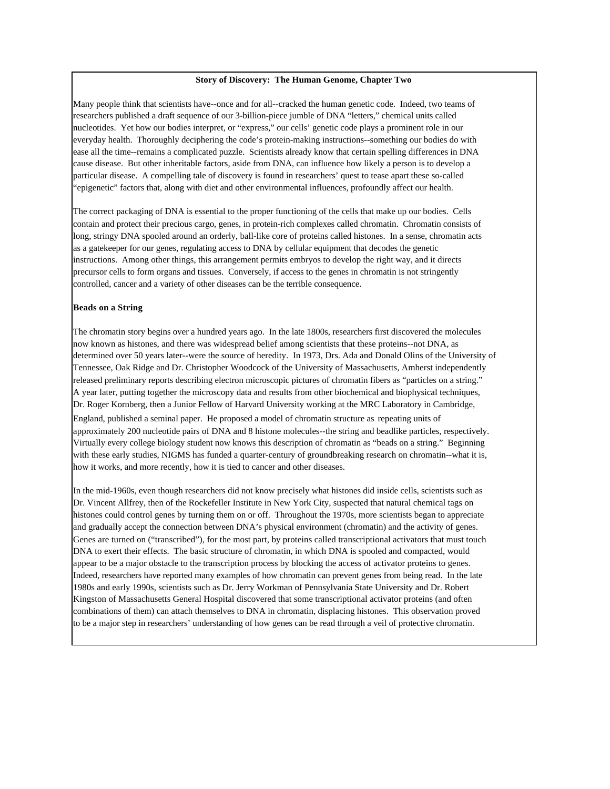#### **Story of Discovery: The Human Genome, Chapter Two**

Many people think that scientists have--once and for all--cracked the human genetic code. Indeed, two teams of researchers published a draft sequence of our 3-billion-piece jumble of DNA "letters," chemical units called nucleotides. Yet how our bodies interpret, or "express," our cells' genetic code plays a prominent role in our everyday health. Thoroughly deciphering the code's protein-making instructions--something our bodies do with ease all the time--remains a complicated puzzle. Scientists already know that certain spelling differences in DNA cause disease. But other inheritable factors, aside from DNA, can influence how likely a person is to develop a particular disease. A compelling tale of discovery is found in researchers' quest to tease apart these so-called "epigenetic" factors that, along with diet and other environmental influences, profoundly affect our health.

The correct packaging of DNA is essential to the proper functioning of the cells that make up our bodies. Cells contain and protect their precious cargo, genes, in protein-rich complexes called chromatin. Chromatin consists of long, stringy DNA spooled around an orderly, ball-like core of proteins called histones. In a sense, chromatin acts as a gatekeeper for our genes, regulating access to DNA by cellular equipment that decodes the genetic instructions. Among other things, this arrangement permits embryos to develop the right way, and it directs precursor cells to form organs and tissues. Conversely, if access to the genes in chromatin is not stringently controlled, cancer and a variety of other diseases can be the terrible consequence.

#### **Beads on a String**

The chromatin story begins over a hundred years ago. In the late 1800s, researchers first discovered the molecules now known as histones, and there was widespread belief among scientists that these proteins--not DNA, as determined over 50 years later--were the source of heredity. In 1973, Drs. Ada and Donald Olins of the University of Tennessee, Oak Ridge and Dr. Christopher Woodcock of the University of Massachusetts, Amherst independently released preliminary reports describing electron microscopic pictures of chromatin fibers as "particles on a string." A year later, putting together the microscopy data and results from other biochemical and biophysical techniques, Dr. Roger Kornberg, then a Junior Fellow of Harvard University working at the MRC Laboratory in Cambridge,

England, published a seminal paper. He proposed a model of chromatin structure as repeating units of approximately 200 nucleotide pairs of DNA and 8 histone molecules--the string and beadlike particles, respectively. Virtually every college biology student now knows this description of chromatin as "beads on a string." Beginning with these early studies, NIGMS has funded a quarter-century of groundbreaking research on chromatin--what it is, how it works, and more recently, how it is tied to cancer and other diseases.

In the mid-1960s, even though researchers did not know precisely what histones did inside cells, scientists such as Dr. Vincent Allfrey, then of the Rockefeller Institute in New York City, suspected that natural chemical tags on histones could control genes by turning them on or off. Throughout the 1970s, more scientists began to appreciate and gradually accept the connection between DNA's physical environment (chromatin) and the activity of genes. Genes are turned on ("transcribed"), for the most part, by proteins called transcriptional activators that must touch DNA to exert their effects. The basic structure of chromatin, in which DNA is spooled and compacted, would appear to be a major obstacle to the transcription process by blocking the access of activator proteins to genes. Indeed, researchers have reported many examples of how chromatin can prevent genes from being read. In the late 1980s and early 1990s, scientists such as Dr. Jerry Workman of Pennsylvania State University and Dr. Robert Kingston of Massachusetts General Hospital discovered that some transcriptional activator proteins (and often combinations of them) can attach themselves to DNA in chromatin, displacing histones. This observation proved to be a major step in researchers' understanding of how genes can be read through a veil of protective chromatin.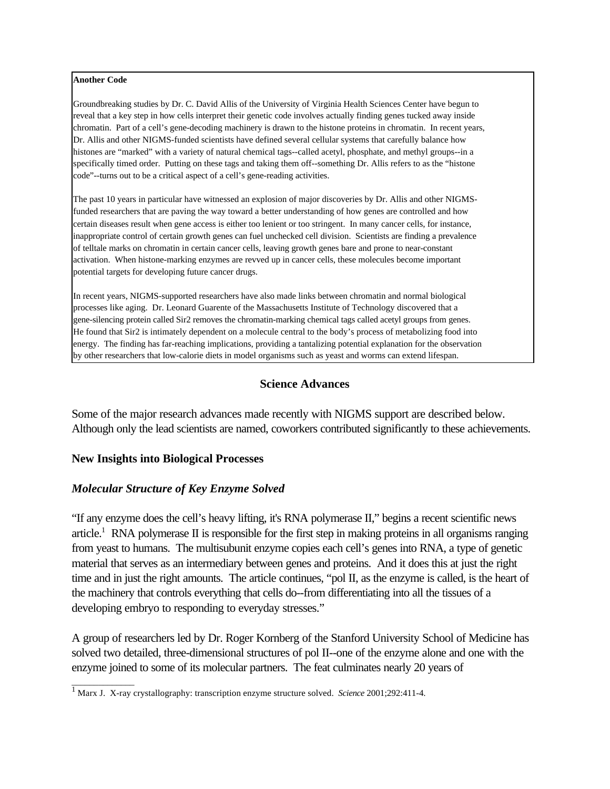#### **Another Code**

Groundbreaking studies by Dr. C. David Allis of the University of Virginia Health Sciences Center have begun to reveal that a key step in how cells interpret their genetic code involves actually finding genes tucked away inside chromatin. Part of a cell's gene-decoding machinery is drawn to the histone proteins in chromatin. In recent years, Dr. Allis and other NIGMS-funded scientists have defined several cellular systems that carefully balance how histones are "marked" with a variety of natural chemical tags--called acetyl, phosphate, and methyl groups--in a specifically timed order. Putting on these tags and taking them off--something Dr. Allis refers to as the "histone code"--turns out to be a critical aspect of a cell's gene-reading activities.

The past 10 years in particular have witnessed an explosion of major discoveries by Dr. Allis and other NIGMSfunded researchers that are paving the way toward a better understanding of how genes are controlled and how certain diseases result when gene access is either too lenient or too stringent. In many cancer cells, for instance, inappropriate control of certain growth genes can fuel unchecked cell division. Scientists are finding a prevalence of telltale marks on chromatin in certain cancer cells, leaving growth genes bare and prone to near-constant activation. When histone-marking enzymes are revved up in cancer cells, these molecules become important potential targets for developing future cancer drugs.

In recent years, NIGMS-supported researchers have also made links between chromatin and normal biological processes like aging. Dr. Leonard Guarente of the Massachusetts Institute of Technology discovered that a gene-silencing protein called Sir2 removes the chromatin-marking chemical tags called acetyl groups from genes. He found that Sir2 is intimately dependent on a molecule central to the body's process of metabolizing food into energy. The finding has far-reaching implications, providing a tantalizing potential explanation for the observation by other researchers that low-calorie diets in model organisms such as yeast and worms can extend lifespan.

### **Science Advances**

Some of the major research advances made recently with NIGMS support are described below. Although only the lead scientists are named, coworkers contributed significantly to these achievements.

#### **New Insights into Biological Processes**

\_\_\_\_\_\_\_\_\_\_\_\_\_\_

### *Molecular Structure of Key Enzyme Solved*

"If any enzyme does the cell's heavy lifting, it's RNA polymerase II," begins a recent scientific news article.<sup>1</sup> RNA polymerase II is responsible for the first step in making proteins in all organisms ranging from yeast to humans. The multisubunit enzyme copies each cell's genes into RNA, a type of genetic material that serves as an intermediary between genes and proteins. And it does this at just the right time and in just the right amounts. The article continues, "pol II, as the enzyme is called, is the heart of the machinery that controls everything that cells do--from differentiating into all the tissues of a developing embryo to responding to everyday stresses."

A group of researchers led by Dr. Roger Kornberg of the Stanford University School of Medicine has solved two detailed, three-dimensional structures of pol II--one of the enzyme alone and one with the enzyme joined to some of its molecular partners. The feat culminates nearly 20 years of

<sup>1</sup> Marx J. X-ray crystallography: transcription enzyme structure solved. *Science* 2001;292:411-4.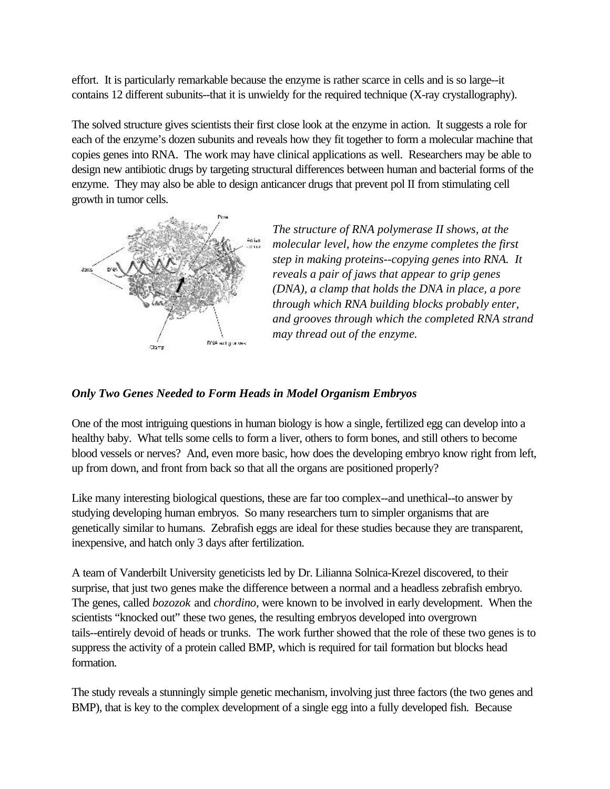effort. It is particularly remarkable because the enzyme is rather scarce in cells and is so large--it contains 12 different subunits--that it is unwieldy for the required technique (X-ray crystallography).

The solved structure gives scientists their first close look at the enzyme in action. It suggests a role for each of the enzyme's dozen subunits and reveals how they fit together to form a molecular machine that copies genes into RNA. The work may have clinical applications as well. Researchers may be able to design new antibiotic drugs by targeting structural differences between human and bacterial forms of the enzyme. They may also be able to design anticancer drugs that prevent pol II from stimulating cell growth in tumor cells.



*The structure of RNA polymerase II shows, at the molecular level, how the enzyme completes the first step in making proteins--copying genes into RNA. It reveals a pair of jaws that appear to grip genes (DNA), a clamp that holds the DNA in place, a pore through which RNA building blocks probably enter, and grooves through which the completed RNA strand may thread out of the enzyme.* 

### *Only Two Genes Needed to Form Heads in Model Organism Embryos*

One of the most intriguing questions in human biology is how a single, fertilized egg can develop into a healthy baby. What tells some cells to form a liver, others to form bones, and still others to become blood vessels or nerves? And, even more basic, how does the developing embryo know right from left, up from down, and front from back so that all the organs are positioned properly?

Like many interesting biological questions, these are far too complex--and unethical--to answer by studying developing human embryos. So many researchers turn to simpler organisms that are genetically similar to humans. Zebrafish eggs are ideal for these studies because they are transparent, inexpensive, and hatch only 3 days after fertilization.

A team of Vanderbilt University geneticists led by Dr. Lilianna Solnica-Krezel discovered, to their surprise, that just two genes make the difference between a normal and a headless zebrafish embryo. The genes, called *bozozok* and *chordino*, were known to be involved in early development. When the scientists "knocked out" these two genes, the resulting embryos developed into overgrown tails--entirely devoid of heads or trunks. The work further showed that the role of these two genes is to suppress the activity of a protein called BMP, which is required for tail formation but blocks head formation.

The study reveals a stunningly simple genetic mechanism, involving just three factors (the two genes and BMP), that is key to the complex development of a single egg into a fully developed fish. Because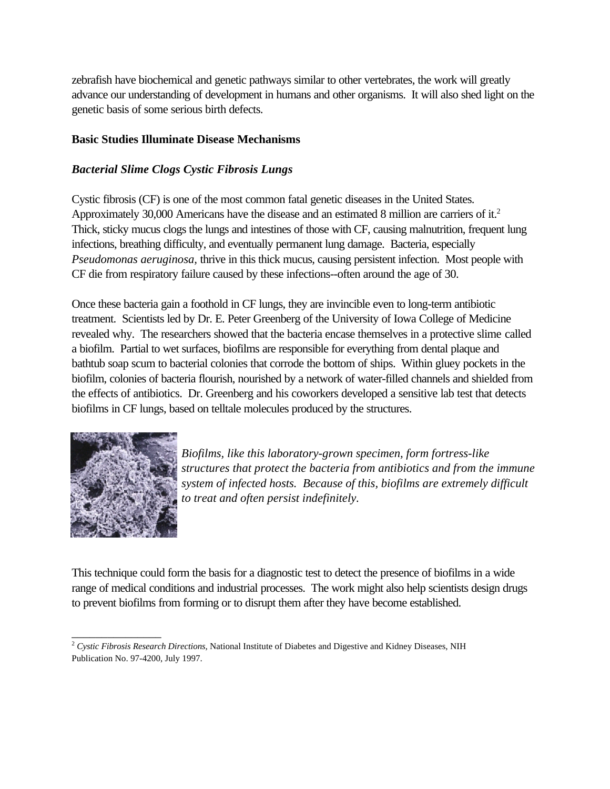zebrafish have biochemical and genetic pathways similar to other vertebrates, the work will greatly advance our understanding of development in humans and other organisms. It will also shed light on the genetic basis of some serious birth defects.

### **Basic Studies Illuminate Disease Mechanisms**

# *Bacterial Slime Clogs Cystic Fibrosis Lungs*

Approximately 30,000 Americans have the disease and an estimated 8 million are carriers of it.<sup>2</sup> Cystic fibrosis (CF) is one of the most common fatal genetic diseases in the United States. Thick, sticky mucus clogs the lungs and intestines of those with CF, causing malnutrition, frequent lung infections, breathing difficulty, and eventually permanent lung damage. Bacteria, especially *Pseudomonas aeruginosa,* thrive in this thick mucus, causing persistent infection. Most people with CF die from respiratory failure caused by these infections--often around the age of 30.

Once these bacteria gain a foothold in CF lungs, they are invincible even to long-term antibiotic treatment. Scientists led by Dr. E. Peter Greenberg of the University of Iowa College of Medicine revealed why. The researchers showed that the bacteria encase themselves in a protective slime called a biofilm. Partial to wet surfaces, biofilms are responsible for everything from dental plaque and bathtub soap scum to bacterial colonies that corrode the bottom of ships. Within gluey pockets in the biofilm, colonies of bacteria flourish, nourished by a network of water-filled channels and shielded from the effects of antibiotics. Dr. Greenberg and his coworkers developed a sensitive lab test that detects biofilms in CF lungs, based on telltale molecules produced by the structures.



\_\_\_\_\_\_\_\_\_\_\_\_\_\_\_

*Biofilms, like this laboratory-grown specimen, form fortress-like structures that protect the bacteria from antibiotics and from the immune system of infected hosts. Because of this, biofilms are extremely difficult to treat and often persist indefinitely.* 

This technique could form the basis for a diagnostic test to detect the presence of biofilms in a wide range of medical conditions and industrial processes. The work might also help scientists design drugs to prevent biofilms from forming or to disrupt them after they have become established.

<sup>&</sup>lt;sup>2</sup> Cystic Fibrosis Research Directions, National Institute of Diabetes and Digestive and Kidney Diseases, NIH Publication No. 97-4200, July 1997.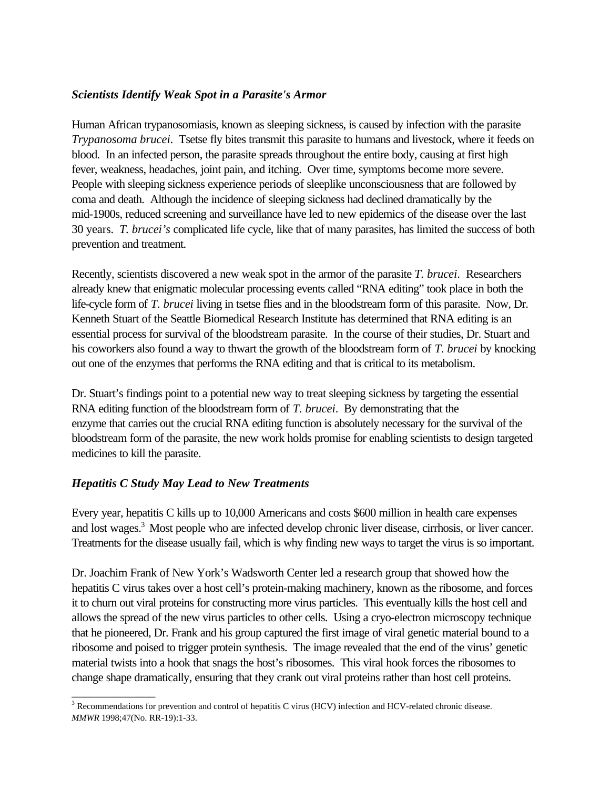# *Scientists Identify Weak Spot in a Parasite's Armor*

Human African trypanosomiasis, known as sleeping sickness, is caused by infection with the parasite *Trypanosoma brucei*. Tsetse fly bites transmit this parasite to humans and livestock, where it feeds on blood. In an infected person, the parasite spreads throughout the entire body, causing at first high fever, weakness, headaches, joint pain, and itching. Over time, symptoms become more severe. People with sleeping sickness experience periods of sleeplike unconsciousness that are followed by coma and death. Although the incidence of sleeping sickness had declined dramatically by the mid-1900s, reduced screening and surveillance have led to new epidemics of the disease over the last 30 years. *T. brucei's* complicated life cycle, like that of many parasites, has limited the success of both prevention and treatment.

Recently, scientists discovered a new weak spot in the armor of the parasite *T. brucei*. Researchers already knew that enigmatic molecular processing events called "RNA editing" took place in both the life-cycle form of *T. brucei* living in tsetse flies and in the bloodstream form of this parasite. Now, Dr. Kenneth Stuart of the Seattle Biomedical Research Institute has determined that RNA editing is an essential process for survival of the bloodstream parasite. In the course of their studies, Dr. Stuart and his coworkers also found a way to thwart the growth of the bloodstream form of *T. brucei* by knocking out one of the enzymes that performs the RNA editing and that is critical to its metabolism.

Dr. Stuart's findings point to a potential new way to treat sleeping sickness by targeting the essential RNA editing function of the bloodstream form of *T. brucei*. By demonstrating that the enzyme that carries out the crucial RNA editing function is absolutely necessary for the survival of the bloodstream form of the parasite, the new work holds promise for enabling scientists to design targeted medicines to kill the parasite.

# *Hepatitis C Study May Lead to New Treatments*

\_\_\_\_\_\_\_\_\_\_\_\_\_\_

Every year, hepatitis C kills up to 10,000 Americans and costs \$600 million in health care expenses and lost wages.3 Most people who are infected develop chronic liver disease, cirrhosis, or liver cancer. Treatments for the disease usually fail, which is why finding new ways to target the virus is so important.

Dr. Joachim Frank of New York's Wadsworth Center led a research group that showed how the hepatitis C virus takes over a host cell's protein-making machinery, known as the ribosome, and forces it to churn out viral proteins for constructing more virus particles. This eventually kills the host cell and allows the spread of the new virus particles to other cells. Using a cryo-electron microscopy technique that he pioneered, Dr. Frank and his group captured the first image of viral genetic material bound to a ribosome and poised to trigger protein synthesis. The image revealed that the end of the virus' genetic material twists into a hook that snags the host's ribosomes. This viral hook forces the ribosomes to change shape dramatically, ensuring that they crank out viral proteins rather than host cell proteins.

<sup>&</sup>lt;sup>3</sup> Recommendations for prevention and control of hepatitis C virus (HCV) infection and HCV-related chronic disease. *MMWR* 1998;47(No. RR-19):1-33.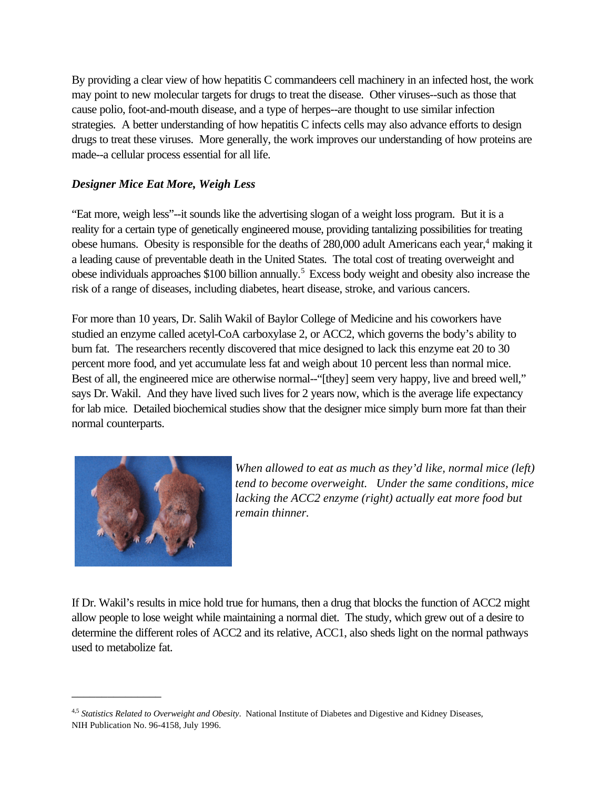By providing a clear view of how hepatitis C commandeers cell machinery in an infected host, the work may point to new molecular targets for drugs to treat the disease. Other viruses--such as those that cause polio, foot-and-mouth disease, and a type of herpes--are thought to use similar infection strategies. A better understanding of how hepatitis C infects cells may also advance efforts to design drugs to treat these viruses. More generally, the work improves our understanding of how proteins are made--a cellular process essential for all life.

# *Designer Mice Eat More, Weigh Less*

"Eat more, weigh less"--it sounds like the advertising slogan of a weight loss program. But it is a reality for a certain type of genetically engineered mouse, providing tantalizing possibilities for treating obese humans. Obesity is responsible for the deaths of 280,000 adult Americans each year,<sup>4</sup> making it a leading cause of preventable death in the United States. The total cost of treating overweight and obese individuals approaches \$100 billion annually.5 Excess body weight and obesity also increase the risk of a range of diseases, including diabetes, heart disease, stroke, and various cancers.

For more than 10 years, Dr. Salih Wakil of Baylor College of Medicine and his coworkers have studied an enzyme called acetyl-CoA carboxylase 2, or ACC2, which governs the body's ability to burn fat. The researchers recently discovered that mice designed to lack this enzyme eat 20 to 30 percent more food, and yet accumulate less fat and weigh about 10 percent less than normal mice. Best of all, the engineered mice are otherwise normal--"[they] seem very happy, live and breed well," says Dr. Wakil. And they have lived such lives for 2 years now, which is the average life expectancy for lab mice. Detailed biochemical studies show that the designer mice simply burn more fat than their normal counterparts.



\_\_\_\_\_\_\_\_\_\_\_\_\_\_\_

*When allowed to eat as much as they'd like, normal mice (left) tend to become overweight. Under the same conditions, mice lacking the ACC2 enzyme (right) actually eat more food but remain thinner.* 

If Dr. Wakil's results in mice hold true for humans, then a drug that blocks the function of ACC2 might allow people to lose weight while maintaining a normal diet. The study, which grew out of a desire to determine the different roles of ACC2 and its relative, ACC1, also sheds light on the normal pathways used to metabolize fat.

<sup>4,5</sup> *Statistics Related to Overweight and Obesity*. National Institute of Diabetes and Digestive and Kidney Diseases, NIH Publication No. 96-4158, July 1996.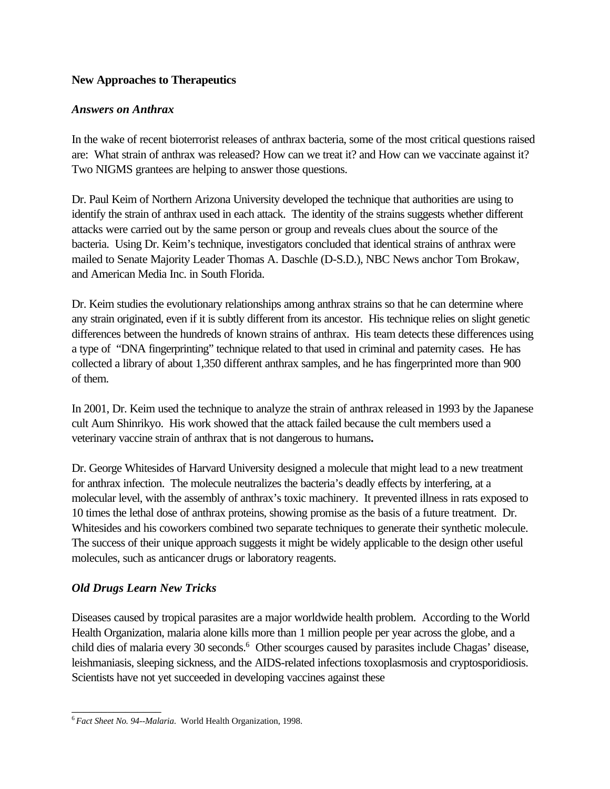# **New Approaches to Therapeutics**

# *Answers on Anthrax*

In the wake of recent bioterrorist releases of anthrax bacteria, some of the most critical questions raised are: What strain of anthrax was released? How can we treat it? and How can we vaccinate against it? Two NIGMS grantees are helping to answer those questions.

Dr. Paul Keim of Northern Arizona University developed the technique that authorities are using to identify the strain of anthrax used in each attack. The identity of the strains suggests whether different attacks were carried out by the same person or group and reveals clues about the source of the bacteria. Using Dr. Keim's technique, investigators concluded that identical strains of anthrax were mailed to Senate Majority Leader Thomas A. Daschle (D-S.D.), NBC News anchor Tom Brokaw, and American Media Inc. in South Florida.

Dr. Keim studies the evolutionary relationships among anthrax strains so that he can determine where any strain originated, even if it is subtly different from its ancestor. His technique relies on slight genetic differences between the hundreds of known strains of anthrax. His team detects these differences using a type of "DNA fingerprinting" technique related to that used in criminal and paternity cases. He has collected a library of about 1,350 different anthrax samples, and he has fingerprinted more than 900 of them.

In 2001, Dr. Keim used the technique to analyze the strain of anthrax released in 1993 by the Japanese cult Aum Shinrikyo. His work showed that the attack failed because the cult members used a veterinary vaccine strain of anthrax that is not dangerous to humans*.* 

Dr. George Whitesides of Harvard University designed a molecule that might lead to a new treatment for anthrax infection. The molecule neutralizes the bacteria's deadly effects by interfering, at a molecular level, with the assembly of anthrax's toxic machinery. It prevented illness in rats exposed to 10 times the lethal dose of anthrax proteins, showing promise as the basis of a future treatment. Dr. Whitesides and his coworkers combined two separate techniques to generate their synthetic molecule. The success of their unique approach suggests it might be widely applicable to the design other useful molecules, such as anticancer drugs or laboratory reagents.

# *Old Drugs Learn New Tricks*

\_\_\_\_\_\_\_\_\_\_\_\_\_\_\_

Diseases caused by tropical parasites are a major worldwide health problem. According to the World Health Organization, malaria alone kills more than 1 million people per year across the globe, and a child dies of malaria every 30 seconds.<sup>6</sup> Other scourges caused by parasites include Chagas' disease, leishmaniasis, sleeping sickness, and the AIDS-related infections toxoplasmosis and cryptosporidiosis. Scientists have not yet succeeded in developing vaccines against these

<sup>6</sup>*Fact Sheet No. 94--Malaria*. World Health Organization, 1998.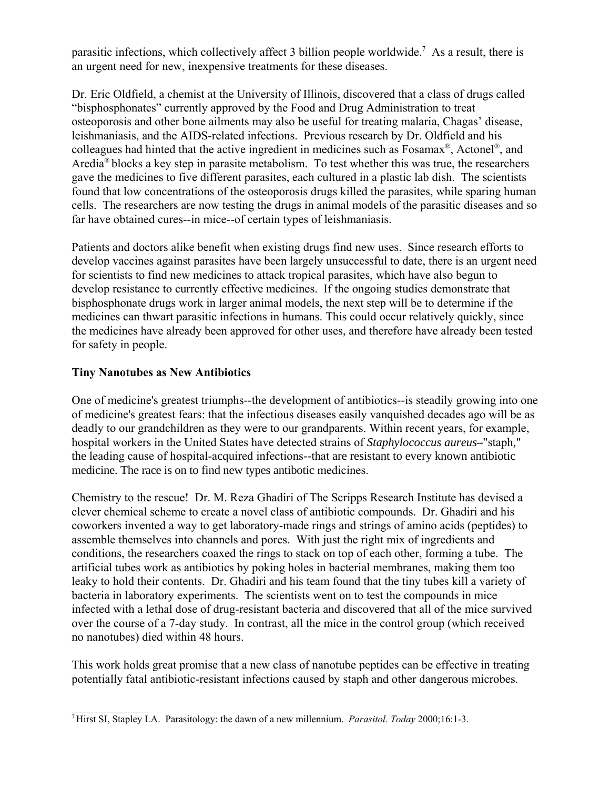parasitic infections, which collectively affect 3 billion people worldwide.7 As a result, there is an urgent need for new, inexpensive treatments for these diseases.

Dr. Eric Oldfield, a chemist at the University of Illinois, discovered that a class of drugs called "bisphosphonates" currently approved by the Food and Drug Administration to treat osteoporosis and other bone ailments may also be useful for treating malaria, Chagas' disease, leishmaniasis, and the AIDS-related infections. Previous research by Dr. Oldfield and his colleagues had hinted that the active ingredient in medicines such as Fosamax®, Actonel®, and Aredia® blocks a key step in parasite metabolism. To test whether this was true, the researchers gave the medicines to five different parasites, each cultured in a plastic lab dish. The scientists found that low concentrations of the osteoporosis drugs killed the parasites, while sparing human cells. The researchers are now testing the drugs in animal models of the parasitic diseases and so far have obtained cures--in mice--of certain types of leishmaniasis.

Patients and doctors alike benefit when existing drugs find new uses. Since research efforts to develop vaccines against parasites have been largely unsuccessful to date, there is an urgent need for scientists to find new medicines to attack tropical parasites, which have also begun to develop resistance to currently effective medicines. If the ongoing studies demonstrate that bisphosphonate drugs work in larger animal models, the next step will be to determine if the medicines can thwart parasitic infections in humans. This could occur relatively quickly, since the medicines have already been approved for other uses, and therefore have already been tested for safety in people.

# **Tiny Nanotubes as New Antibiotics**

One of medicine's greatest triumphs--the development of antibiotics--is steadily growing into one of medicine's greatest fears: that the infectious diseases easily vanquished decades ago will be as deadly to our grandchildren as they were to our grandparents. Within recent years, for example, hospital workers in the United States have detected strains of *Staphylococcus aureus--*"staph," the leading cause of hospital-acquired infections--that are resistant to every known antibiotic medicine. The race is on to find new types antibotic medicines.

Chemistry to the rescue! Dr. M. Reza Ghadiri of The Scripps Research Institute has devised a clever chemical scheme to create a novel class of antibiotic compounds. Dr. Ghadiri and his coworkers invented a way to get laboratory-made rings and strings of amino acids (peptides) to assemble themselves into channels and pores. With just the right mix of ingredients and conditions, the researchers coaxed the rings to stack on top of each other, forming a tube. The artificial tubes work as antibiotics by poking holes in bacterial membranes, making them too leaky to hold their contents. Dr. Ghadiri and his team found that the tiny tubes kill a variety of bacteria in laboratory experiments. The scientists went on to test the compounds in mice infected with a lethal dose of drug-resistant bacteria and discovered that all of the mice survived over the course of a 7-day study. In contrast, all the mice in the control group (which received no nanotubes) died within 48 hours.

This work holds great promise that a new class of nanotube peptides can be effective in treating potentially fatal antibiotic-resistant infections caused by staph and other dangerous microbes.

 $\mathcal{L}_\text{max}$ 7 Hirst SI, Stapley LA. Parasitology: the dawn of a new millennium. *Parasitol. Today* 2000;16:1-3.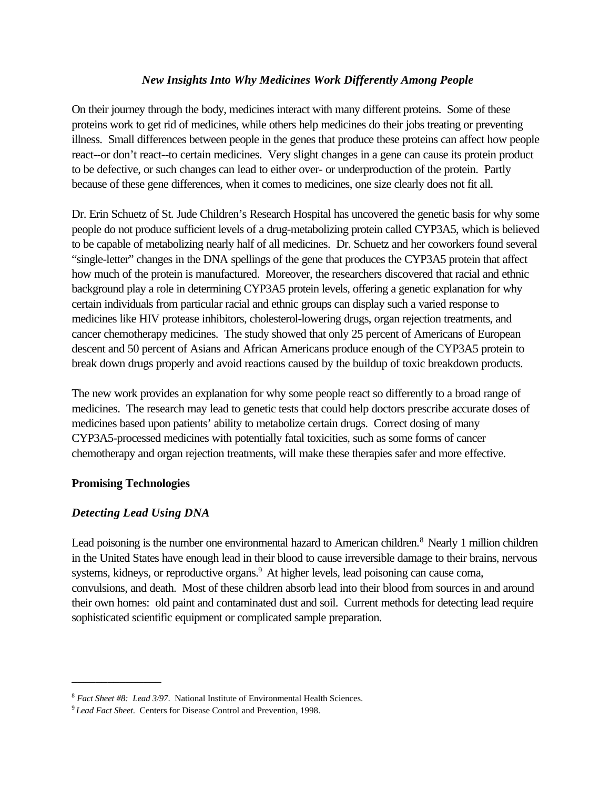# *New Insights Into Why Medicines Work Differently Among People*

On their journey through the body, medicines interact with many different proteins. Some of these proteins work to get rid of medicines, while others help medicines do their jobs treating or preventing illness. Small differences between people in the genes that produce these proteins can affect how people react--or don't react--to certain medicines. Very slight changes in a gene can cause its protein product to be defective, or such changes can lead to either over- or underproduction of the protein. Partly because of these gene differences, when it comes to medicines, one size clearly does not fit all.

Dr. Erin Schuetz of St. Jude Children's Research Hospital has uncovered the genetic basis for why some people do not produce sufficient levels of a drug-metabolizing protein called CYP3A5, which is believed to be capable of metabolizing nearly half of all medicines. Dr. Schuetz and her coworkers found several "single-letter" changes in the DNA spellings of the gene that produces the CYP3A5 protein that affect how much of the protein is manufactured. Moreover, the researchers discovered that racial and ethnic background play a role in determining CYP3A5 protein levels, offering a genetic explanation for why certain individuals from particular racial and ethnic groups can display such a varied response to medicines like HIV protease inhibitors, cholesterol-lowering drugs, organ rejection treatments, and cancer chemotherapy medicines. The study showed that only 25 percent of Americans of European descent and 50 percent of Asians and African Americans produce enough of the CYP3A5 protein to break down drugs properly and avoid reactions caused by the buildup of toxic breakdown products.

The new work provides an explanation for why some people react so differently to a broad range of medicines. The research may lead to genetic tests that could help doctors prescribe accurate doses of medicines based upon patients' ability to metabolize certain drugs. Correct dosing of many CYP3A5-processed medicines with potentially fatal toxicities, such as some forms of cancer chemotherapy and organ rejection treatments, will make these therapies safer and more effective.

### **Promising Technologies**

\_\_\_\_\_\_\_\_\_\_\_\_\_\_\_

### *Detecting Lead Using DNA*

Lead poisoning is the number one environmental hazard to American children.<sup>8</sup> Nearly 1 million children in the United States have enough lead in their blood to cause irreversible damage to their brains, nervous systems, kidneys, or reproductive organs.<sup>9</sup> At higher levels, lead poisoning can cause coma, convulsions, and death. Most of these children absorb lead into their blood from sources in and around their own homes: old paint and contaminated dust and soil. Current methods for detecting lead require sophisticated scientific equipment or complicated sample preparation.

<sup>8</sup>*Fact Sheet #8: Lead 3/97*. National Institute of Environmental Health Sciences. 9 *Lead Fact Sheet*. Centers for Disease Control and Prevention, 1998.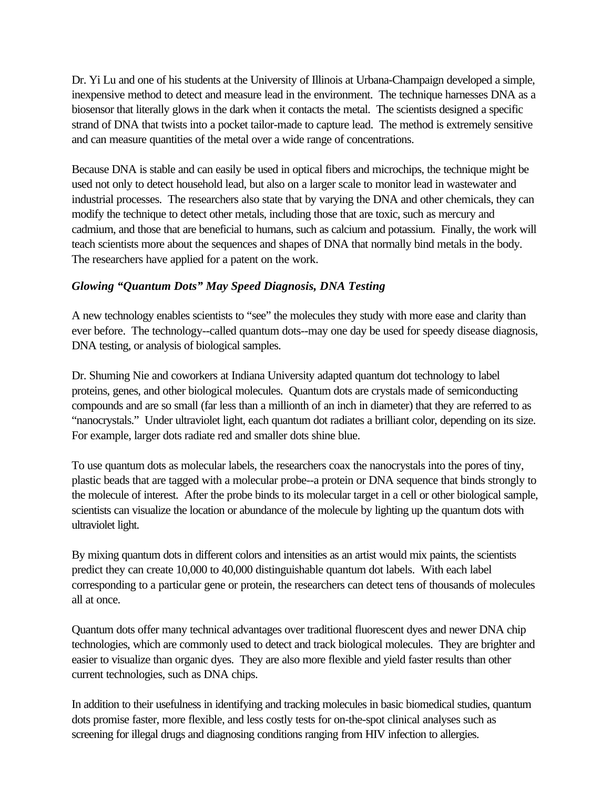Dr. Yi Lu and one of his students at the University of Illinois at Urbana-Champaign developed a simple, inexpensive method to detect and measure lead in the environment. The technique harnesses DNA as a biosensor that literally glows in the dark when it contacts the metal. The scientists designed a specific strand of DNA that twists into a pocket tailor-made to capture lead. The method is extremely sensitive and can measure quantities of the metal over a wide range of concentrations.

Because DNA is stable and can easily be used in optical fibers and microchips, the technique might be used not only to detect household lead, but also on a larger scale to monitor lead in wastewater and industrial processes. The researchers also state that by varying the DNA and other chemicals, they can modify the technique to detect other metals, including those that are toxic, such as mercury and cadmium, and those that are beneficial to humans, such as calcium and potassium. Finally, the work will teach scientists more about the sequences and shapes of DNA that normally bind metals in the body. The researchers have applied for a patent on the work.

# *Glowing "Quantum Dots" May Speed Diagnosis, DNA Testing*

A new technology enables scientists to "see" the molecules they study with more ease and clarity than ever before. The technology--called quantum dots--may one day be used for speedy disease diagnosis, DNA testing, or analysis of biological samples.

Dr. Shuming Nie and coworkers at Indiana University adapted quantum dot technology to label proteins, genes, and other biological molecules. Quantum dots are crystals made of semiconducting compounds and are so small (far less than a millionth of an inch in diameter) that they are referred to as "nanocrystals." Under ultraviolet light, each quantum dot radiates a brilliant color, depending on its size. For example, larger dots radiate red and smaller dots shine blue.

To use quantum dots as molecular labels, the researchers coax the nanocrystals into the pores of tiny, plastic beads that are tagged with a molecular probe--a protein or DNA sequence that binds strongly to the molecule of interest. After the probe binds to its molecular target in a cell or other biological sample, scientists can visualize the location or abundance of the molecule by lighting up the quantum dots with ultraviolet light.

By mixing quantum dots in different colors and intensities as an artist would mix paints, the scientists predict they can create 10,000 to 40,000 distinguishable quantum dot labels. With each label corresponding to a particular gene or protein, the researchers can detect tens of thousands of molecules all at once.

Quantum dots offer many technical advantages over traditional fluorescent dyes and newer DNA chip technologies, which are commonly used to detect and track biological molecules. They are brighter and easier to visualize than organic dyes. They are also more flexible and yield faster results than other current technologies, such as DNA chips.

In addition to their usefulness in identifying and tracking molecules in basic biomedical studies, quantum dots promise faster, more flexible, and less costly tests for on-the-spot clinical analyses such as screening for illegal drugs and diagnosing conditions ranging from HIV infection to allergies.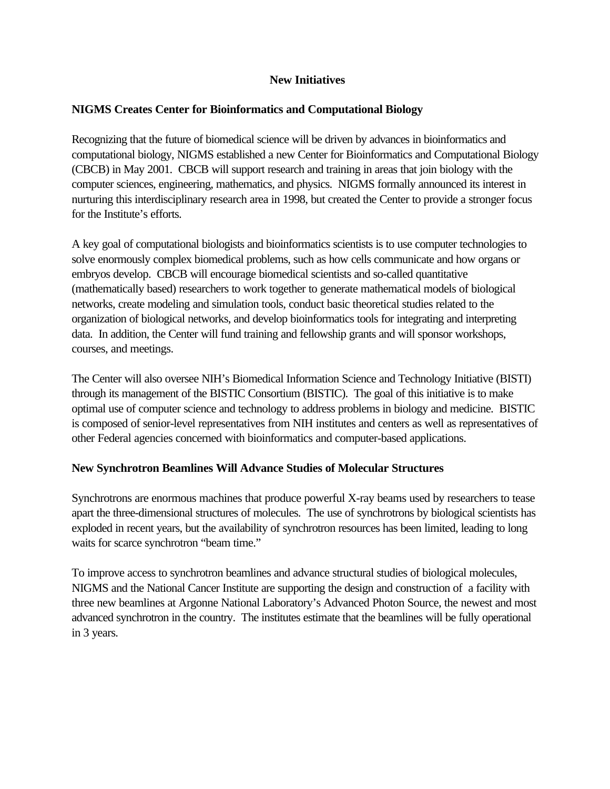# **New Initiatives**

# **NIGMS Creates Center for Bioinformatics and Computational Biology**

Recognizing that the future of biomedical science will be driven by advances in bioinformatics and computational biology, NIGMS established a new Center for Bioinformatics and Computational Biology (CBCB) in May 2001. CBCB will support research and training in areas that join biology with the computer sciences, engineering, mathematics, and physics. NIGMS formally announced its interest in nurturing this interdisciplinary research area in 1998, but created the Center to provide a stronger focus for the Institute's efforts.

A key goal of computational biologists and bioinformatics scientists is to use computer technologies to solve enormously complex biomedical problems, such as how cells communicate and how organs or embryos develop. CBCB will encourage biomedical scientists and so-called quantitative (mathematically based) researchers to work together to generate mathematical models of biological networks, create modeling and simulation tools, conduct basic theoretical studies related to the organization of biological networks, and develop bioinformatics tools for integrating and interpreting data. In addition, the Center will fund training and fellowship grants and will sponsor workshops, courses, and meetings.

The Center will also oversee NIH's Biomedical Information Science and Technology Initiative (BISTI) through its management of the BISTIC Consortium (BISTIC). The goal of this initiative is to make optimal use of computer science and technology to address problems in biology and medicine. BISTIC is composed of senior-level representatives from NIH institutes and centers as well as representatives of other Federal agencies concerned with bioinformatics and computer-based applications.

# **New Synchrotron Beamlines Will Advance Studies of Molecular Structures**

Synchrotrons are enormous machines that produce powerful X-ray beams used by researchers to tease apart the three-dimensional structures of molecules. The use of synchrotrons by biological scientists has exploded in recent years, but the availability of synchrotron resources has been limited, leading to long waits for scarce synchrotron "beam time."

To improve access to synchrotron beamlines and advance structural studies of biological molecules, NIGMS and the National Cancer Institute are supporting the design and construction of a facility with three new beamlines at Argonne National Laboratory's Advanced Photon Source, the newest and most advanced synchrotron in the country. The institutes estimate that the beamlines will be fully operational in 3 years.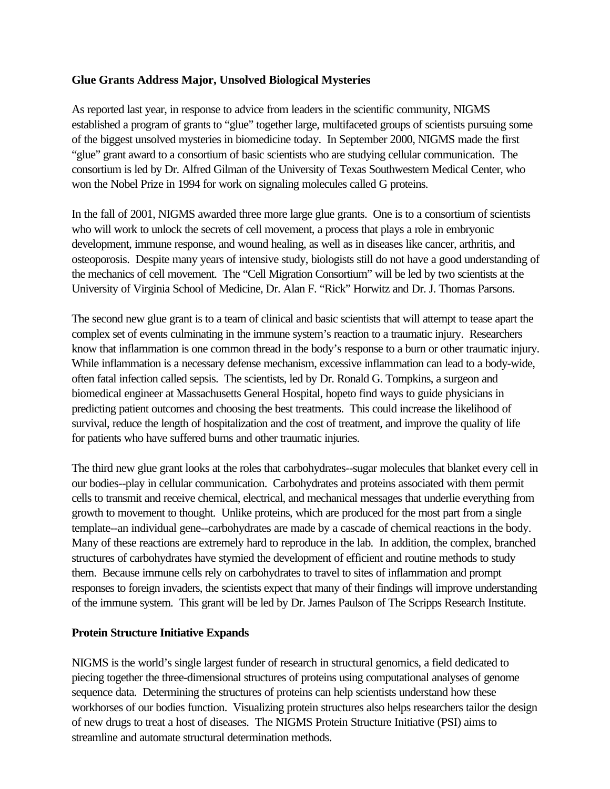# **Glue Grants Address Major, Unsolved Biological Mysteries**

As reported last year, in response to advice from leaders in the scientific community, NIGMS established a program of grants to "glue" together large, multifaceted groups of scientists pursuing some of the biggest unsolved mysteries in biomedicine today. In September 2000, NIGMS made the first "glue" grant award to a consortium of basic scientists who are studying cellular communication. The consortium is led by Dr. Alfred Gilman of the University of Texas Southwestern Medical Center, who won the Nobel Prize in 1994 for work on signaling molecules called G proteins.

In the fall of 2001, NIGMS awarded three more large glue grants. One is to a consortium of scientists who will work to unlock the secrets of cell movement, a process that plays a role in embryonic development, immune response, and wound healing, as well as in diseases like cancer, arthritis, and osteoporosis. Despite many years of intensive study, biologists still do not have a good understanding of the mechanics of cell movement. The "Cell Migration Consortium" will be led by two scientists at the University of Virginia School of Medicine, Dr. Alan F. "Rick" Horwitz and Dr. J. Thomas Parsons.

The second new glue grant is to a team of clinical and basic scientists that will attempt to tease apart the complex set of events culminating in the immune system's reaction to a traumatic injury. Researchers know that inflammation is one common thread in the body's response to a burn or other traumatic injury. While inflammation is a necessary defense mechanism, excessive inflammation can lead to a body-wide, often fatal infection called sepsis. The scientists, led by Dr. Ronald G. Tompkins, a surgeon and biomedical engineer at Massachusetts General Hospital, hopeto find ways to guide physicians in predicting patient outcomes and choosing the best treatments. This could increase the likelihood of survival, reduce the length of hospitalization and the cost of treatment, and improve the quality of life for patients who have suffered burns and other traumatic injuries.

The third new glue grant looks at the roles that carbohydrates--sugar molecules that blanket every cell in our bodies--play in cellular communication. Carbohydrates and proteins associated with them permit cells to transmit and receive chemical, electrical, and mechanical messages that underlie everything from growth to movement to thought. Unlike proteins, which are produced for the most part from a single template--an individual gene--carbohydrates are made by a cascade of chemical reactions in the body. Many of these reactions are extremely hard to reproduce in the lab. In addition, the complex, branched structures of carbohydrates have stymied the development of efficient and routine methods to study them. Because immune cells rely on carbohydrates to travel to sites of inflammation and prompt responses to foreign invaders, the scientists expect that many of their findings will improve understanding of the immune system. This grant will be led by Dr. James Paulson of The Scripps Research Institute.

### **Protein Structure Initiative Expands**

NIGMS is the world's single largest funder of research in structural genomics, a field dedicated to piecing together the three-dimensional structures of proteins using computational analyses of genome sequence data. Determining the structures of proteins can help scientists understand how these workhorses of our bodies function. Visualizing protein structures also helps researchers tailor the design of new drugs to treat a host of diseases. The NIGMS Protein Structure Initiative (PSI) aims to streamline and automate structural determination methods.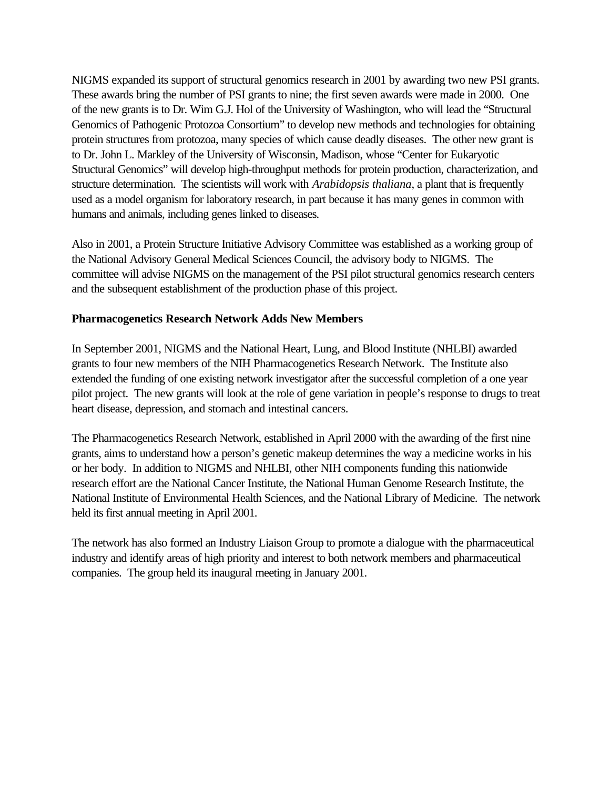NIGMS expanded its support of structural genomics research in 2001 by awarding two new PSI grants. These awards bring the number of PSI grants to nine; the first seven awards were made in 2000. One of the new grants is to Dr. Wim G.J. Hol of the University of Washington, who will lead the "Structural Genomics of Pathogenic Protozoa Consortium" to develop new methods and technologies for obtaining protein structures from protozoa, many species of which cause deadly diseases. The other new grant is to Dr. John L. Markley of the University of Wisconsin, Madison, whose "Center for Eukaryotic Structural Genomics" will develop high-throughput methods for protein production, characterization, and structure determination. The scientists will work with *Arabidopsis thaliana*, a plant that is frequently used as a model organism for laboratory research, in part because it has many genes in common with humans and animals, including genes linked to diseases.

Also in 2001, a Protein Structure Initiative Advisory Committee was established as a working group of the National Advisory General Medical Sciences Council, the advisory body to NIGMS. The committee will advise NIGMS on the management of the PSI pilot structural genomics research centers and the subsequent establishment of the production phase of this project.

### **Pharmacogenetics Research Network Adds New Members**

In September 2001, NIGMS and the National Heart, Lung, and Blood Institute (NHLBI) awarded grants to four new members of the NIH Pharmacogenetics Research Network. The Institute also extended the funding of one existing network investigator after the successful completion of a one year pilot project. The new grants will look at the role of gene variation in people's response to drugs to treat heart disease, depression, and stomach and intestinal cancers.

The Pharmacogenetics Research Network, established in April 2000 with the awarding of the first nine grants, aims to understand how a person's genetic makeup determines the way a medicine works in his or her body. In addition to NIGMS and NHLBI, other NIH components funding this nationwide research effort are the National Cancer Institute, the National Human Genome Research Institute, the National Institute of Environmental Health Sciences, and the National Library of Medicine. The network held its first annual meeting in April 2001.

The network has also formed an Industry Liaison Group to promote a dialogue with the pharmaceutical industry and identify areas of high priority and interest to both network members and pharmaceutical companies. The group held its inaugural meeting in January 2001.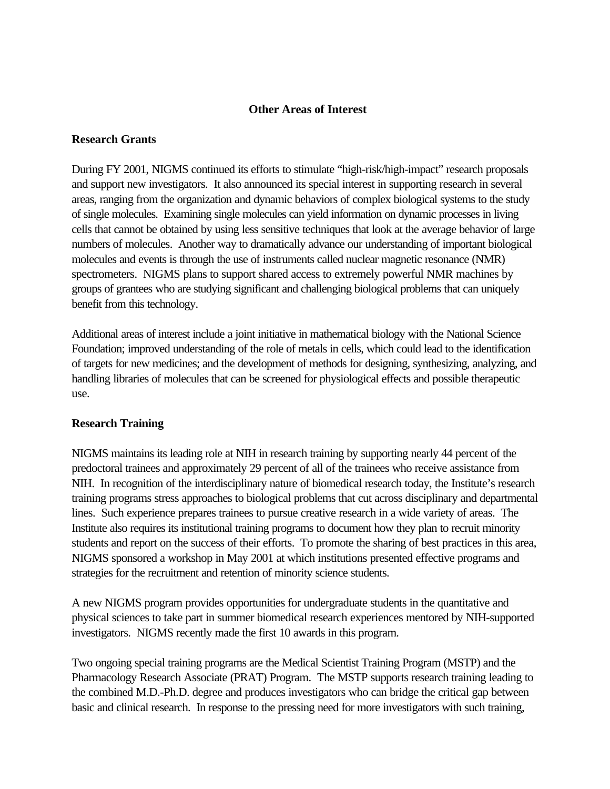### **Other Areas of Interest**

#### **Research Grants**

During FY 2001, NIGMS continued its efforts to stimulate "high-risk/high-impact" research proposals and support new investigators. It also announced its special interest in supporting research in several areas, ranging from the organization and dynamic behaviors of complex biological systems to the study of single molecules. Examining single molecules can yield information on dynamic processes in living cells that cannot be obtained by using less sensitive techniques that look at the average behavior of large numbers of molecules. Another way to dramatically advance our understanding of important biological molecules and events is through the use of instruments called nuclear magnetic resonance (NMR) spectrometers. NIGMS plans to support shared access to extremely powerful NMR machines by groups of grantees who are studying significant and challenging biological problems that can uniquely benefit from this technology.

Additional areas of interest include a joint initiative in mathematical biology with the National Science Foundation; improved understanding of the role of metals in cells, which could lead to the identification of targets for new medicines; and the development of methods for designing, synthesizing, analyzing, and handling libraries of molecules that can be screened for physiological effects and possible therapeutic use.

### **Research Training**

NIGMS maintains its leading role at NIH in research training by supporting nearly 44 percent of the predoctoral trainees and approximately 29 percent of all of the trainees who receive assistance from NIH. In recognition of the interdisciplinary nature of biomedical research today, the Institute's research training programs stress approaches to biological problems that cut across disciplinary and departmental lines. Such experience prepares trainees to pursue creative research in a wide variety of areas. The Institute also requires its institutional training programs to document how they plan to recruit minority students and report on the success of their efforts. To promote the sharing of best practices in this area, NIGMS sponsored a workshop in May 2001 at which institutions presented effective programs and strategies for the recruitment and retention of minority science students.

A new NIGMS program provides opportunities for undergraduate students in the quantitative and physical sciences to take part in summer biomedical research experiences mentored by NIH-supported investigators. NIGMS recently made the first 10 awards in this program.

Two ongoing special training programs are the Medical Scientist Training Program (MSTP) and the Pharmacology Research Associate (PRAT) Program. The MSTP supports research training leading to the combined M.D.-Ph.D. degree and produces investigators who can bridge the critical gap between basic and clinical research. In response to the pressing need for more investigators with such training,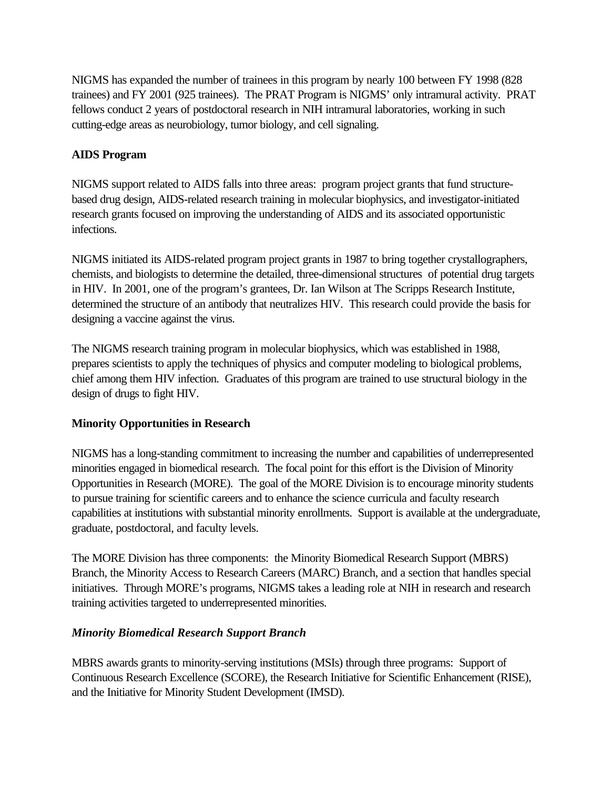NIGMS has expanded the number of trainees in this program by nearly 100 between FY 1998 (828 trainees) and FY 2001 (925 trainees). The PRAT Program is NIGMS' only intramural activity. PRAT fellows conduct 2 years of postdoctoral research in NIH intramural laboratories, working in such cutting-edge areas as neurobiology, tumor biology, and cell signaling.

# **AIDS Program**

NIGMS support related to AIDS falls into three areas: program project grants that fund structurebased drug design, AIDS-related research training in molecular biophysics, and investigator-initiated research grants focused on improving the understanding of AIDS and its associated opportunistic infections.

NIGMS initiated its AIDS-related program project grants in 1987 to bring together crystallographers, chemists, and biologists to determine the detailed, three-dimensional structures of potential drug targets in HIV. In 2001, one of the program's grantees, Dr. Ian Wilson at The Scripps Research Institute, determined the structure of an antibody that neutralizes HIV. This research could provide the basis for designing a vaccine against the virus.

The NIGMS research training program in molecular biophysics, which was established in 1988, prepares scientists to apply the techniques of physics and computer modeling to biological problems, chief among them HIV infection. Graduates of this program are trained to use structural biology in the design of drugs to fight HIV.

### **Minority Opportunities in Research**

NIGMS has a long-standing commitment to increasing the number and capabilities of underrepresented minorities engaged in biomedical research. The focal point for this effort is the Division of Minority Opportunities in Research (MORE). The goal of the MORE Division is to encourage minority students to pursue training for scientific careers and to enhance the science curricula and faculty research capabilities at institutions with substantial minority enrollments. Support is available at the undergraduate, graduate, postdoctoral, and faculty levels.

The MORE Division has three components: the Minority Biomedical Research Support (MBRS) Branch, the Minority Access to Research Careers (MARC) Branch, and a section that handles special initiatives. Through MORE's programs, NIGMS takes a leading role at NIH in research and research training activities targeted to underrepresented minorities.

### *Minority Biomedical Research Support Branch*

MBRS awards grants to minority-serving institutions (MSIs) through three programs: Support of Continuous Research Excellence (SCORE), the Research Initiative for Scientific Enhancement (RISE), and the Initiative for Minority Student Development (IMSD).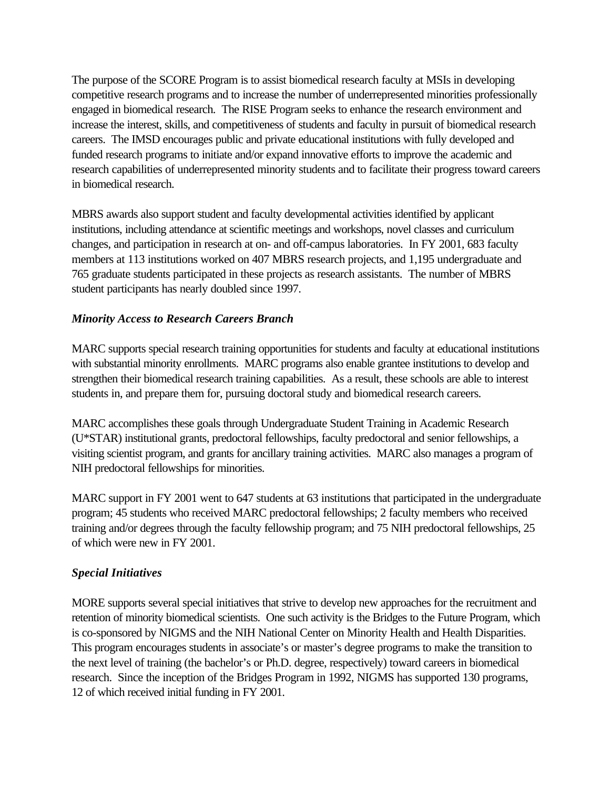The purpose of the SCORE Program is to assist biomedical research faculty at MSIs in developing competitive research programs and to increase the number of underrepresented minorities professionally engaged in biomedical research. The RISE Program seeks to enhance the research environment and increase the interest, skills, and competitiveness of students and faculty in pursuit of biomedical research careers. The IMSD encourages public and private educational institutions with fully developed and funded research programs to initiate and/or expand innovative efforts to improve the academic and research capabilities of underrepresented minority students and to facilitate their progress toward careers in biomedical research.

MBRS awards also support student and faculty developmental activities identified by applicant institutions, including attendance at scientific meetings and workshops, novel classes and curriculum changes, and participation in research at on- and off-campus laboratories. In FY 2001, 683 faculty members at 113 institutions worked on 407 MBRS research projects, and 1,195 undergraduate and 765 graduate students participated in these projects as research assistants. The number of MBRS student participants has nearly doubled since 1997.

# *Minority Access to Research Careers Branch*

MARC supports special research training opportunities for students and faculty at educational institutions with substantial minority enrollments. MARC programs also enable grantee institutions to develop and strengthen their biomedical research training capabilities. As a result, these schools are able to interest students in, and prepare them for, pursuing doctoral study and biomedical research careers.

MARC accomplishes these goals through Undergraduate Student Training in Academic Research (U\*STAR) institutional grants, predoctoral fellowships, faculty predoctoral and senior fellowships, a visiting scientist program, and grants for ancillary training activities. MARC also manages a program of NIH predoctoral fellowships for minorities.

MARC support in FY 2001 went to 647 students at 63 institutions that participated in the undergraduate program; 45 students who received MARC predoctoral fellowships; 2 faculty members who received training and/or degrees through the faculty fellowship program; and 75 NIH predoctoral fellowships, 25 of which were new in FY 2001.

# *Special Initiatives*

MORE supports several special initiatives that strive to develop new approaches for the recruitment and retention of minority biomedical scientists. One such activity is the Bridges to the Future Program, which is co-sponsored by NIGMS and the NIH National Center on Minority Health and Health Disparities. This program encourages students in associate's or master's degree programs to make the transition to the next level of training (the bachelor's or Ph.D. degree, respectively) toward careers in biomedical research. Since the inception of the Bridges Program in 1992, NIGMS has supported 130 programs, 12 of which received initial funding in FY 2001.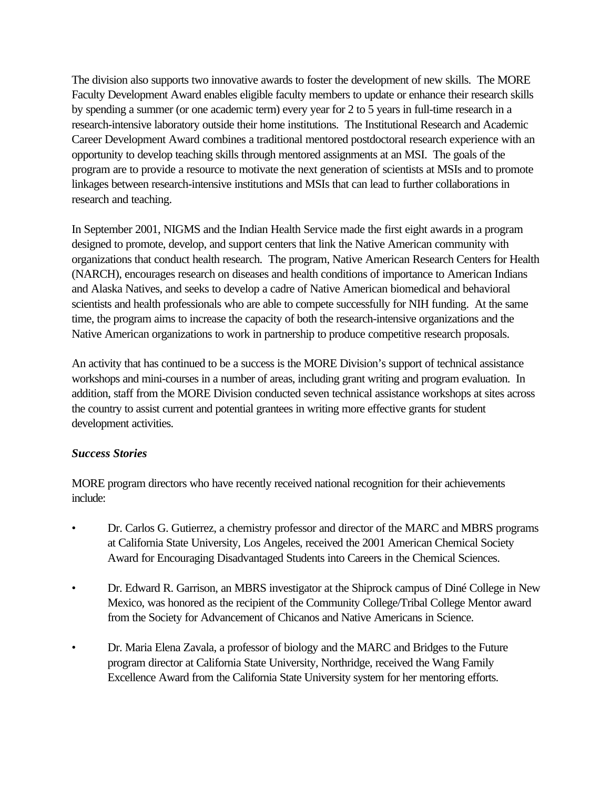The division also supports two innovative awards to foster the development of new skills. The MORE Faculty Development Award enables eligible faculty members to update or enhance their research skills by spending a summer (or one academic term) every year for 2 to 5 years in full-time research in a research-intensive laboratory outside their home institutions. The Institutional Research and Academic Career Development Award combines a traditional mentored postdoctoral research experience with an opportunity to develop teaching skills through mentored assignments at an MSI. The goals of the program are to provide a resource to motivate the next generation of scientists at MSIs and to promote linkages between research-intensive institutions and MSIs that can lead to further collaborations in research and teaching.

In September 2001, NIGMS and the Indian Health Service made the first eight awards in a program designed to promote, develop, and support centers that link the Native American community with organizations that conduct health research. The program, Native American Research Centers for Health (NARCH), encourages research on diseases and health conditions of importance to American Indians and Alaska Natives, and seeks to develop a cadre of Native American biomedical and behavioral scientists and health professionals who are able to compete successfully for NIH funding. At the same time, the program aims to increase the capacity of both the research-intensive organizations and the Native American organizations to work in partnership to produce competitive research proposals.

An activity that has continued to be a success is the MORE Division's support of technical assistance workshops and mini-courses in a number of areas, including grant writing and program evaluation. In addition, staff from the MORE Division conducted seven technical assistance workshops at sites across the country to assist current and potential grantees in writing more effective grants for student development activities.

# *Success Stories*

MORE program directors who have recently received national recognition for their achievements include:

- Dr. Carlos G. Gutierrez, a chemistry professor and director of the MARC and MBRS programs at California State University, Los Angeles, received the 2001 American Chemical Society Award for Encouraging Disadvantaged Students into Careers in the Chemical Sciences.
- Dr. Edward R. Garrison, an MBRS investigator at the Shiprock campus of Diné College in New Mexico, was honored as the recipient of the Community College/Tribal College Mentor award from the Society for Advancement of Chicanos and Native Americans in Science.
- Dr. Maria Elena Zavala, a professor of biology and the MARC and Bridges to the Future program director at California State University, Northridge, received the Wang Family Excellence Award from the California State University system for her mentoring efforts.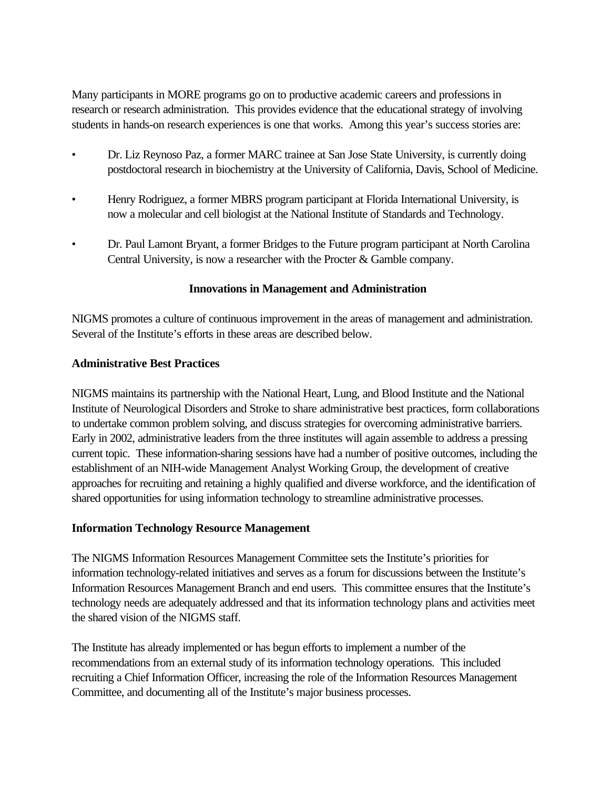Many participants in MORE programs go on to productive academic careers and professions in research or research administration. This provides evidence that the educational strategy of involving students in hands-on research experiences is one that works. Among this year's success stories are:

- Dr. Liz Reynoso Paz, a former MARC trainee at San Jose State University, is currently doing postdoctoral research in biochemistry at the University of California, Davis, School of Medicine.
- Henry Rodriguez, a former MBRS program participant at Florida International University, is now a molecular and cell biologist at the National Institute of Standards and Technology.
- Dr. Paul Lamont Bryant, a former Bridges to the Future program participant at North Carolina Central University, is now a researcher with the Procter & Gamble company.

# **Innovations in Management and Administration**

NIGMS promotes a culture of continuous improvement in the areas of management and administration. Several of the Institute's efforts in these areas are described below.

# **Administrative Best Practices**

NIGMS maintains its partnership with the National Heart, Lung, and Blood Institute and the National Institute of Neurological Disorders and Stroke to share administrative best practices, form collaborations to undertake common problem solving, and discuss strategies for overcoming administrative barriers. Early in 2002, administrative leaders from the three institutes will again assemble to address a pressing current topic. These information-sharing sessions have had a number of positive outcomes, including the establishment of an NIH-wide Management Analyst Working Group, the development of creative approaches for recruiting and retaining a highly qualified and diverse workforce, and the identification of shared opportunities for using information technology to streamline administrative processes.

# **Information Technology Resource Management**

The NIGMS Information Resources Management Committee sets the Institute's priorities for information technology-related initiatives and serves as a forum for discussions between the Institute's Information Resources Management Branch and end users. This committee ensures that the Institute's technology needs are adequately addressed and that its information technology plans and activities meet the shared vision of the NIGMS staff.

The Institute has already implemented or has begun efforts to implement a number of the recommendations from an external study of its information technology operations. This included recruiting a Chief Information Officer, increasing the role of the Information Resources Management Committee, and documenting all of the Institute's major business processes.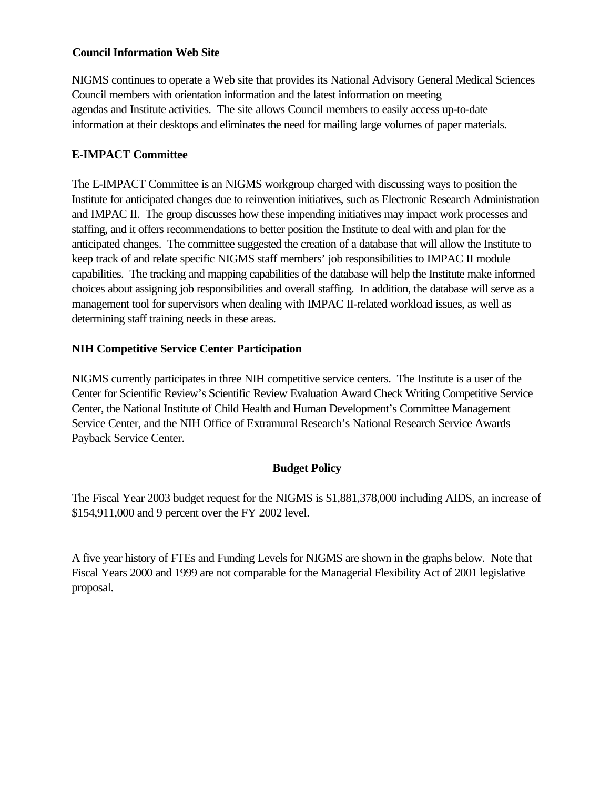### **Council Information Web Site**

NIGMS continues to operate a Web site that provides its National Advisory General Medical Sciences Council members with orientation information and the latest information on meeting agendas and Institute activities. The site allows Council members to easily access up-to-date information at their desktops and eliminates the need for mailing large volumes of paper materials.

# **E-IMPACT Committee**

The E-IMPACT Committee is an NIGMS workgroup charged with discussing ways to position the Institute for anticipated changes due to reinvention initiatives, such as Electronic Research Administration and IMPAC II. The group discusses how these impending initiatives may impact work processes and staffing, and it offers recommendations to better position the Institute to deal with and plan for the anticipated changes. The committee suggested the creation of a database that will allow the Institute to keep track of and relate specific NIGMS staff members' job responsibilities to IMPAC II module capabilities. The tracking and mapping capabilities of the database will help the Institute make informed choices about assigning job responsibilities and overall staffing. In addition, the database will serve as a management tool for supervisors when dealing with IMPAC II-related workload issues, as well as determining staff training needs in these areas.

# **NIH Competitive Service Center Participation**

NIGMS currently participates in three NIH competitive service centers. The Institute is a user of the Center for Scientific Review's Scientific Review Evaluation Award Check Writing Competitive Service Center, the National Institute of Child Health and Human Development's Committee Management Service Center, and the NIH Office of Extramural Research's National Research Service Awards Payback Service Center.

# **Budget Policy**

The Fiscal Year 2003 budget request for the NIGMS is \$1,881,378,000 including AIDS, an increase of \$154,911,000 and 9 percent over the FY 2002 level.

A five year history of FTEs and Funding Levels for NIGMS are shown in the graphs below. Note that Fiscal Years 2000 and 1999 are not comparable for the Managerial Flexibility Act of 2001 legislative proposal.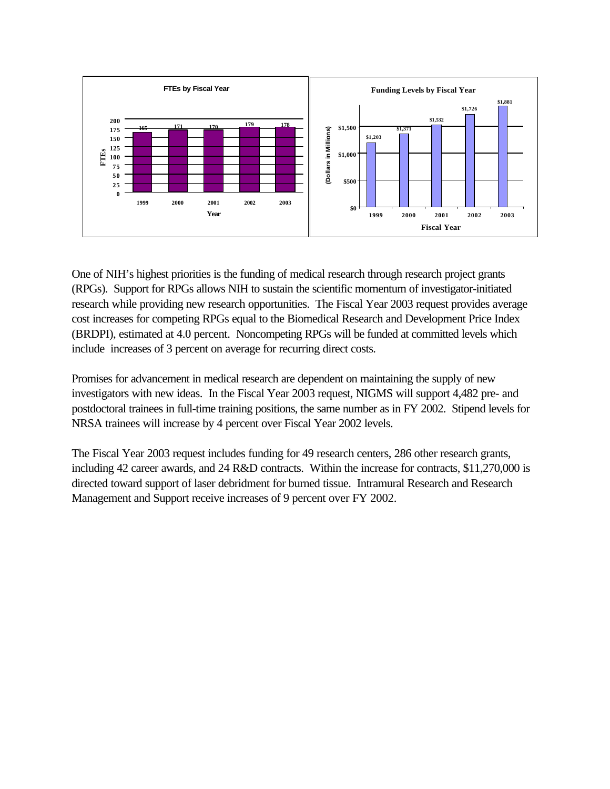

One of NIH's highest priorities is the funding of medical research through research project grants (RPGs). Support for RPGs allows NIH to sustain the scientific momentum of investigator-initiated research while providing new research opportunities. The Fiscal Year 2003 request provides average cost increases for competing RPGs equal to the Biomedical Research and Development Price Index (BRDPI), estimated at 4.0 percent. Noncompeting RPGs will be funded at committed levels which include increases of 3 percent on average for recurring direct costs.

Promises for advancement in medical research are dependent on maintaining the supply of new investigators with new ideas. In the Fiscal Year 2003 request, NIGMS will support 4,482 pre- and postdoctoral trainees in full-time training positions, the same number as in FY 2002. Stipend levels for NRSA trainees will increase by 4 percent over Fiscal Year 2002 levels.

The Fiscal Year 2003 request includes funding for 49 research centers, 286 other research grants, including 42 career awards, and 24 R&D contracts. Within the increase for contracts, \$11,270,000 is directed toward support of laser debridment for burned tissue. Intramural Research and Research Management and Support receive increases of 9 percent over FY 2002.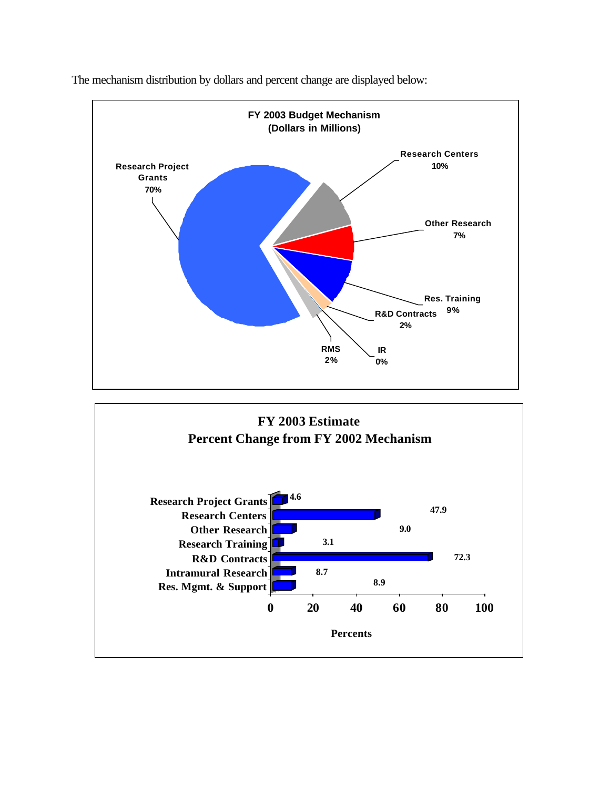

The mechanism distribution by dollars and percent change are displayed below: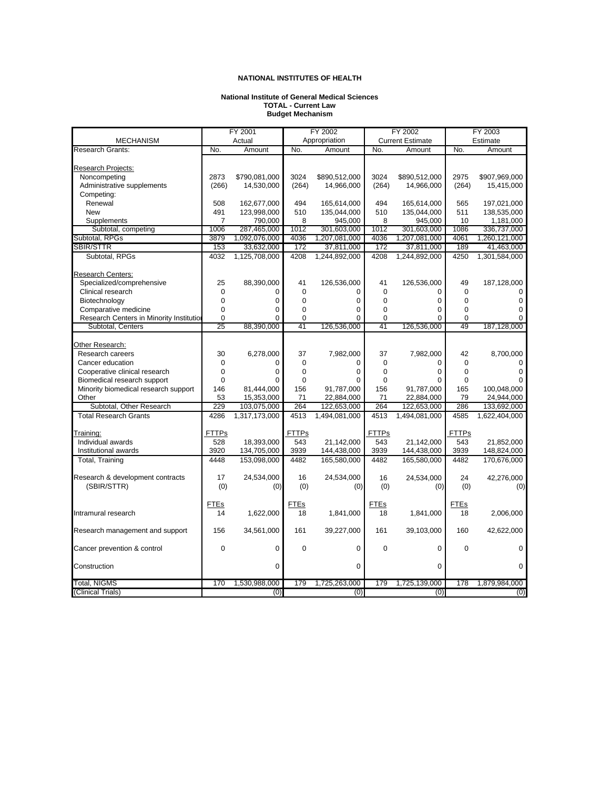#### **National Institute of General Medical Sciences TOTAL - Current Law Budget Mechanism**

<span id="page-27-0"></span>

|                                          | FY 2001        |               | FY 2002      |               | FY 2002      |                         | FY 2003      |               |
|------------------------------------------|----------------|---------------|--------------|---------------|--------------|-------------------------|--------------|---------------|
| <b>MECHANISM</b>                         |                | Actual        |              | Appropriation |              | <b>Current Estimate</b> |              | Estimate      |
| <b>Research Grants:</b>                  | No.            | Amount        | No.          | Amount        | No.          | Amount                  | No.          | Amount        |
|                                          |                |               |              |               |              |                         |              |               |
| Research Projects:                       |                |               |              |               |              |                         |              |               |
| Noncompeting                             | 2873           | \$790,081,000 | 3024         | \$890,512,000 | 3024         | \$890,512,000           | 2975         | \$907,969,000 |
| Administrative supplements               | (266)          | 14,530,000    | (264)        | 14,966,000    | (264)        | 14,966,000              | (264)        | 15,415,000    |
| Competing:                               |                |               |              |               |              |                         |              |               |
| Renewal                                  | 508            | 162,677,000   | 494          | 165,614,000   | 494          | 165,614,000             | 565          | 197,021,000   |
| <b>New</b>                               | 491            | 123,998,000   | 510          | 135,044,000   | 510          | 135,044,000             | 511          | 138,535,000   |
| Supplements                              | $\overline{7}$ | 790,000       | 8            | 945,000       | 8            | 945,000                 | 10           | 1,181,000     |
| Subtotal, competing                      | 1006           | 287,465,000   | 1012         | 301,603,000   | 1012         | 301,603,000             | 1086         | 336,737,000   |
| Subtotal, RPGs                           | 3879           | 1,092,076,000 | 4036         | 1,207,081,000 | 4036         | 1,207,081,000           | 4061         | 1,260,121,000 |
| <b>SBIR/STTR</b>                         | 153            | 33,632,000    | 172          | 37,811,000    | 172          | 37,811,000              | 189          | 41,463,000    |
| Subtotal, RPGs                           | 4032           | 1,125,708,000 | 4208         | 1,244,892,000 | 4208         | 1,244,892,000           | 4250         | 1,301,584,000 |
|                                          |                |               |              |               |              |                         |              |               |
| <b>Research Centers:</b>                 |                |               |              |               |              |                         |              |               |
| Specialized/comprehensive                | 25             | 88,390,000    | 41           | 126,536,000   | 41           | 126,536,000             | 49           | 187,128,000   |
| Clinical research                        | 0              | 0             | $\mathbf 0$  | 0             | 0            | 0                       | $\mathbf 0$  | $\mathbf 0$   |
| Biotechnology                            | $\mathbf 0$    | $\mathbf 0$   | 0            | 0             | $\mathbf 0$  | 0                       | $\mathbf 0$  | $\mathbf 0$   |
| Comparative medicine                     | $\mathbf 0$    | $\Omega$      | 0            | 0             | $\mathbf 0$  | 0                       | $\mathbf 0$  | $\mathbf 0$   |
| Research Centers in Minority Institution | $\mathbf 0$    | $\Omega$      | 0            | 0             | $\mathbf 0$  | $\Omega$                | $\Omega$     | $\Omega$      |
| Subtotal, Centers                        | 25             | 88,390,000    | 41           | 126,536,000   | 41           | 126,536,000             | 49           | 187,128,000   |
|                                          |                |               |              |               |              |                         |              |               |
| Other Research:                          |                |               |              |               |              |                         |              |               |
| Research careers                         | 30             | 6,278,000     | 37           | 7,982,000     | 37           | 7,982,000               | 42           | 8,700,000     |
| Cancer education                         | $\mathbf 0$    | $\Omega$      | 0            | 0             | $\mathbf 0$  | $\Omega$                | $\Omega$     | $\Omega$      |
| Cooperative clinical research            | 0              | $\mathbf 0$   | 0            | 0             | $\mathbf 0$  | 0                       | $\mathbf 0$  | 0             |
| Biomedical research support              | 0              | $\Omega$      | 0            | 0             | $\mathbf 0$  | $\Omega$                | $\mathbf 0$  | $\Omega$      |
| Minority biomedical research support     | 146            | 81,444,000    | 156          | 91,787,000    | 156          | 91,787,000              | 165          | 100,048,000   |
| Other                                    | 53             | 15,353,000    | 71           | 22,884,000    | 71           | 22,884,000              | 79           | 24,944,000    |
| Subtotal, Other Research                 | 229            | 103,075,000   | 264          | 122,653,000   | 264          | 122,653,000             | 286          | 133,692,000   |
| <b>Total Research Grants</b>             | 4286           | 1,317,173,000 | 4513         | 1,494,081,000 | 4513         | 1,494,081,000           | 4585         | 1,622,404,000 |
|                                          |                |               |              |               |              |                         |              |               |
| Training:                                | <b>FTTPs</b>   |               | <b>FTTPs</b> |               | <b>FTTPs</b> |                         | <b>FTTPs</b> |               |
| Individual awards                        | 528            | 18,393,000    | 543          | 21,142,000    | 543          | 21.142.000              | 543          | 21,852,000    |
| Institutional awards                     | 3920           | 134,705,000   | 3939         | 144,438,000   | 3939         | 144,438,000             | 3939         | 148,824,000   |
| Total, Training                          | 4448           | 153,098,000   | 4482         | 165,580,000   | 4482         | 165,580,000             | 4482         | 170,676,000   |
|                                          |                |               |              |               |              |                         |              |               |
| Research & development contracts         | 17             | 24,534,000    | 16           | 24,534,000    | 16           | 24,534,000              | 24           | 42,276,000    |
| (SBIR/STTR)                              | (0)            | (0)           | (0)          | (0)           | (0)          | (0)                     | (0)          | (0)           |
|                                          |                |               |              |               |              |                         |              |               |
|                                          | <b>FTEs</b>    |               | <b>FTEs</b>  |               | <b>FTEs</b>  |                         | <b>FTEs</b>  |               |
| Intramural research                      | 14             | 1,622,000     | 18           | 1,841,000     | 18           | 1,841,000               | 18           | 2,006,000     |
|                                          |                |               |              |               |              |                         |              |               |
| Research management and support          | 156            | 34,561,000    | 161          | 39,227,000    | 161          | 39,103,000              | 160          | 42,622,000    |
|                                          |                |               |              |               |              |                         |              |               |
| Cancer prevention & control              | $\mathbf 0$    | $\mathbf 0$   | $\mathbf 0$  | 0             | $\Omega$     | 0                       | $\Omega$     | $\mathbf 0$   |
|                                          |                |               |              |               |              |                         |              |               |
| Construction                             |                | $\Omega$      |              | $\Omega$      |              | $\Omega$                |              | $\mathbf 0$   |
|                                          |                |               |              |               |              |                         |              |               |
| <b>Total, NIGMS</b>                      | 170            | 1,530,988,000 | 179          | 1,725,263,000 | 179          | 1,725,139,000           | 178          | 1,879,984,000 |
| (Clinical Trials)                        |                | (0)           |              | (0)           |              | (0)                     |              | (0)           |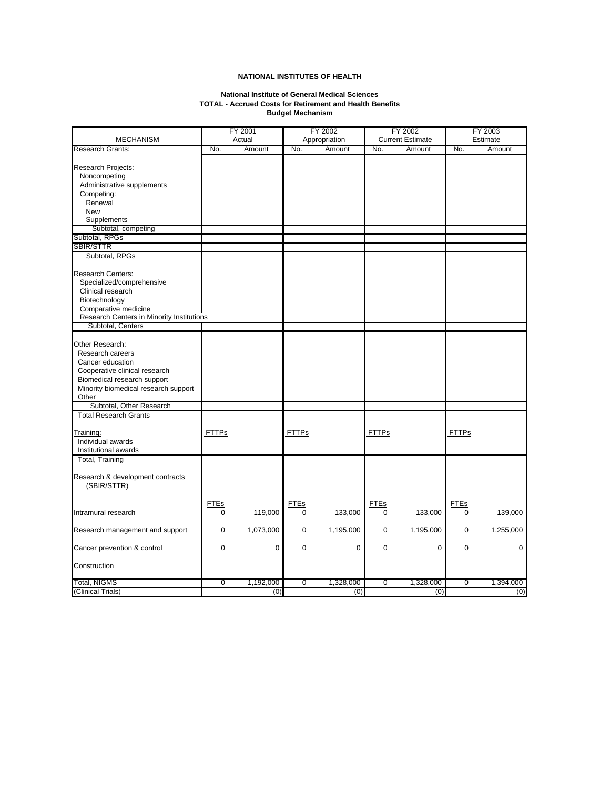#### **National Institute of General Medical Sciences TOTAL - Accrued Costs for Retirement and Health Benefits Budget Mechanism**

|                                           |                | FY 2001<br>FY 2002 |                | FY 2002       |                         | FY 2003   |                |           |
|-------------------------------------------|----------------|--------------------|----------------|---------------|-------------------------|-----------|----------------|-----------|
| <b>MECHANISM</b>                          |                | Actual             |                | Appropriation | <b>Current Estimate</b> |           |                | Estimate  |
| <b>Research Grants:</b>                   | No.            | Amount             | No.            | Amount        | No.                     | Amount    | No.            | Amount    |
|                                           |                |                    |                |               |                         |           |                |           |
| Research Projects:                        |                |                    |                |               |                         |           |                |           |
| Noncompeting                              |                |                    |                |               |                         |           |                |           |
| Administrative supplements                |                |                    |                |               |                         |           |                |           |
| Competing:                                |                |                    |                |               |                         |           |                |           |
| Renewal                                   |                |                    |                |               |                         |           |                |           |
| <b>New</b>                                |                |                    |                |               |                         |           |                |           |
| Supplements                               |                |                    |                |               |                         |           |                |           |
| Subtotal, competing                       |                |                    |                |               |                         |           |                |           |
| Subtotal, RPGs                            |                |                    |                |               |                         |           |                |           |
| <b>SBIR/STTR</b>                          |                |                    |                |               |                         |           |                |           |
|                                           |                |                    |                |               |                         |           |                |           |
| Subtotal, RPGs                            |                |                    |                |               |                         |           |                |           |
|                                           |                |                    |                |               |                         |           |                |           |
| <b>Research Centers:</b>                  |                |                    |                |               |                         |           |                |           |
| Specialized/comprehensive                 |                |                    |                |               |                         |           |                |           |
| Clinical research                         |                |                    |                |               |                         |           |                |           |
| Biotechnology                             |                |                    |                |               |                         |           |                |           |
| Comparative medicine                      |                |                    |                |               |                         |           |                |           |
| Research Centers in Minority Institutions |                |                    |                |               |                         |           |                |           |
| Subtotal, Centers                         |                |                    |                |               |                         |           |                |           |
|                                           |                |                    |                |               |                         |           |                |           |
| Other Research:                           |                |                    |                |               |                         |           |                |           |
| Research careers                          |                |                    |                |               |                         |           |                |           |
| Cancer education                          |                |                    |                |               |                         |           |                |           |
| Cooperative clinical research             |                |                    |                |               |                         |           |                |           |
| Biomedical research support               |                |                    |                |               |                         |           |                |           |
| Minority biomedical research support      |                |                    |                |               |                         |           |                |           |
| Other                                     |                |                    |                |               |                         |           |                |           |
| Subtotal, Other Research                  |                |                    |                |               |                         |           |                |           |
| <b>Total Research Grants</b>              |                |                    |                |               |                         |           |                |           |
|                                           |                |                    |                |               |                         |           |                |           |
|                                           |                |                    |                |               |                         |           |                |           |
| Training:                                 | <b>FTTPs</b>   |                    | <u>FTTPs</u>   |               | <b>FTTPs</b>            |           | <b>FTTPs</b>   |           |
| Individual awards                         |                |                    |                |               |                         |           |                |           |
| Institutional awards                      |                |                    |                |               |                         |           |                |           |
| <b>Total, Training</b>                    |                |                    |                |               |                         |           |                |           |
|                                           |                |                    |                |               |                         |           |                |           |
| Research & development contracts          |                |                    |                |               |                         |           |                |           |
| (SBIR/STTR)                               |                |                    |                |               |                         |           |                |           |
|                                           |                |                    |                |               |                         |           |                |           |
|                                           | <b>FTEs</b>    |                    | <b>FTEs</b>    |               | <b>FTEs</b>             |           | <b>FTEs</b>    |           |
| Intramural research                       | 0              | 119,000            | 0              | 133,000       | 0                       | 133,000   | 0              | 139,000   |
|                                           |                |                    |                |               |                         |           |                |           |
| Research management and support           | 0              | 1,073,000          | 0              | 1,195,000     | 0                       | 1,195,000 | 0              | 1,255,000 |
|                                           |                |                    |                |               |                         |           |                |           |
| Cancer prevention & control               | $\mathbf 0$    | 0                  | 0              | 0             | 0                       | 0         | 0              | 0         |
|                                           |                |                    |                |               |                         |           |                |           |
| Construction                              |                |                    |                |               |                         |           |                |           |
|                                           |                |                    |                |               |                         |           |                |           |
| <b>Total, NIGMS</b>                       | $\overline{0}$ | 1,192,000          | $\overline{0}$ | 1,328,000     | $\overline{0}$          | 1,328,000 | $\overline{0}$ | 1,394,000 |
| (Clinical Trials)                         |                | (0)                |                | (0)           |                         | (0)       |                | (0)       |
|                                           |                |                    |                |               |                         |           |                |           |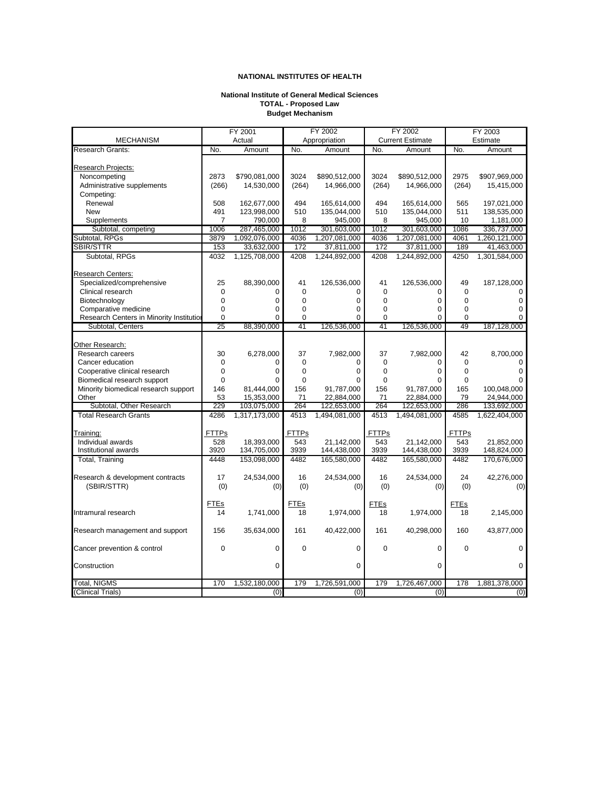#### **National Institute of General Medical Sciences TOTAL - Proposed Law Budget Mechanism**

|                                          | FY 2001        |               | FY 2002      |               |              | FY 2002                 | FY 2003      |               |
|------------------------------------------|----------------|---------------|--------------|---------------|--------------|-------------------------|--------------|---------------|
| <b>MECHANISM</b>                         |                | Actual        |              | Appropriation |              | <b>Current Estimate</b> |              | Estimate      |
| <b>Research Grants:</b>                  | No.            | Amount        | No.          | Amount        | No.          | Amount                  | No.          | Amount        |
|                                          |                |               |              |               |              |                         |              |               |
| Research Projects:                       |                |               |              |               |              |                         |              |               |
| Noncompeting                             | 2873           | \$790,081,000 | 3024         | \$890,512,000 | 3024         | \$890,512,000           | 2975         | \$907,969,000 |
| Administrative supplements               | (266)          | 14,530,000    | (264)        | 14,966,000    | (264)        | 14,966,000              | (264)        | 15,415,000    |
| Competing:                               |                |               |              |               |              |                         |              |               |
| Renewal                                  | 508            | 162,677,000   | 494          | 165,614,000   | 494          | 165,614,000             | 565          | 197,021,000   |
| <b>New</b>                               | 491            | 123,998,000   | 510          | 135,044,000   | 510          | 135,044,000             | 511          | 138,535,000   |
| Supplements                              | $\overline{7}$ | 790,000       | 8            | 945,000       | 8            | 945,000                 | 10           | 1,181,000     |
| Subtotal, competing                      | 1006           | 287,465,000   | 1012         | 301,603,000   | 1012         | 301,603,000             | 1086         | 336,737,000   |
| Subtotal, RPGs                           | 3879           | 1,092,076,000 | 4036         | 1,207,081,000 | 4036         | 1,207,081,000           | 4061         | 1,260,121,000 |
| <b>SBIR/STTR</b>                         | 153            | 33,632,000    | 172          | 37,811,000    | 172          | 37,811,000              | 189          | 41,463,000    |
| Subtotal, RPGs                           | 4032           | 1,125,708,000 | 4208         | 1,244,892,000 | 4208         | 1,244,892,000           | 4250         | 1,301,584,000 |
|                                          |                |               |              |               |              |                         |              |               |
| Research Centers:                        |                |               |              |               |              |                         |              |               |
| Specialized/comprehensive                | 25             | 88,390,000    | 41           | 126,536,000   | 41           | 126,536,000             | 49           | 187,128,000   |
| Clinical research                        | 0              | 0             | 0            | 0             | $\mathbf 0$  | 0                       | $\mathbf 0$  | $\mathbf 0$   |
| Biotechnology                            | $\mathbf 0$    | $\mathbf 0$   | 0            | 0             | $\mathbf 0$  | 0                       | $\mathbf 0$  | $\mathbf 0$   |
| Comparative medicine                     | 0              | $\mathbf 0$   | 0            | 0             | $\mathbf 0$  | 0                       | $\mathbf 0$  | $\mathbf 0$   |
| Research Centers in Minority Institution | $\mathbf 0$    | $\Omega$      | 0            | 0             | $\mathbf 0$  | $\Omega$                | $\Omega$     | $\Omega$      |
| Subtotal, Centers                        | 25             | 88,390,000    | 41           | 126,536,000   | 41           | 126,536,000             | 49           | 187,128,000   |
|                                          |                |               |              |               |              |                         |              |               |
| Other Research:                          |                |               |              |               |              |                         |              |               |
| Research careers                         |                | 6,278,000     | 37           | 7,982,000     | 37           | 7,982,000               | 42           |               |
|                                          | 30             |               |              |               |              |                         |              | 8,700,000     |
| Cancer education                         | $\mathbf 0$    | $\Omega$      | 0            | 0             | 0            | $\Omega$                | $\Omega$     | $\Omega$      |
| Cooperative clinical research            | $\mathbf 0$    | $\mathbf 0$   | 0            | 0             | $\mathbf 0$  | 0                       | $\mathbf 0$  | $\mathbf 0$   |
| Biomedical research support              | 0              | $\Omega$      | 0            | 0             | $\mathbf 0$  | $\Omega$                | 0            | $\Omega$      |
| Minority biomedical research support     | 146            | 81,444,000    | 156          | 91,787,000    | 156          | 91,787,000              | 165          | 100,048,000   |
| Other                                    | 53             | 15,353,000    | 71           | 22,884,000    | 71           | 22,884,000              | 79           | 24,944,000    |
| Subtotal, Other Research                 | 229            | 103,075,000   | 264          | 122,653,000   | 264          | 122,653,000             | 286          | 133,692,000   |
| <b>Total Research Grants</b>             | 4286           | 1,317,173,000 | 4513         | 1,494,081,000 | 4513         | 1,494,081,000           | 4585         | 1,622,404,000 |
|                                          |                |               |              |               |              |                         |              |               |
| Training:                                | <b>FTTPs</b>   |               | <b>FTTPs</b> |               | <b>FTTPs</b> |                         | <b>FTTPs</b> |               |
| Individual awards                        | 528            | 18,393,000    | 543          | 21,142,000    | 543          | 21.142.000              | 543          | 21,852,000    |
| Institutional awards                     | 3920           | 134,705,000   | 3939         | 144,438,000   | 3939         | 144,438,000             | 3939         | 148,824,000   |
| Total, Training                          | 4448           | 153,098,000   | 4482         | 165,580,000   | 4482         | 165,580,000             | 4482         | 170,676,000   |
|                                          |                |               |              |               |              |                         |              |               |
| Research & development contracts         | 17             | 24,534,000    | 16           | 24,534,000    | 16           | 24,534,000              | 24           | 42,276,000    |
| (SBIR/STTR)                              | (0)            | (0)           | (0)          | (0)           | (0)          | (0)                     | (0)          | (0)           |
|                                          |                |               |              |               |              |                         |              |               |
|                                          | <b>FTEs</b>    |               | <u>FTEs</u>  |               | <b>FTEs</b>  |                         | <b>FTEs</b>  |               |
| Intramural research                      | 14             | 1,741,000     | 18           | 1,974,000     | 18           | 1,974,000               | 18           | 2,145,000     |
|                                          |                |               |              |               |              |                         |              |               |
| Research management and support          | 156            | 35,634,000    | 161          | 40,422,000    | 161          | 40,298,000              | 160          | 43,877,000    |
|                                          |                |               |              |               |              |                         |              |               |
| Cancer prevention & control              | $\mathbf 0$    | $\mathbf 0$   | $\mathbf 0$  | 0             | $\Omega$     | 0                       | $\Omega$     | $\mathbf 0$   |
|                                          |                |               |              |               |              |                         |              |               |
| Construction                             |                | $\Omega$      |              | $\Omega$      |              | 0                       |              | $\mathbf 0$   |
|                                          |                |               |              |               |              |                         |              |               |
| <b>Total, NIGMS</b>                      | 170            | 1,532,180,000 | 179          | 1,726,591,000 | 179          | 1,726,467,000           | 178          | 1,881,378,000 |
| (Clinical Trials)                        |                | (0)           |              | (0)           |              | (0)                     |              | (0)           |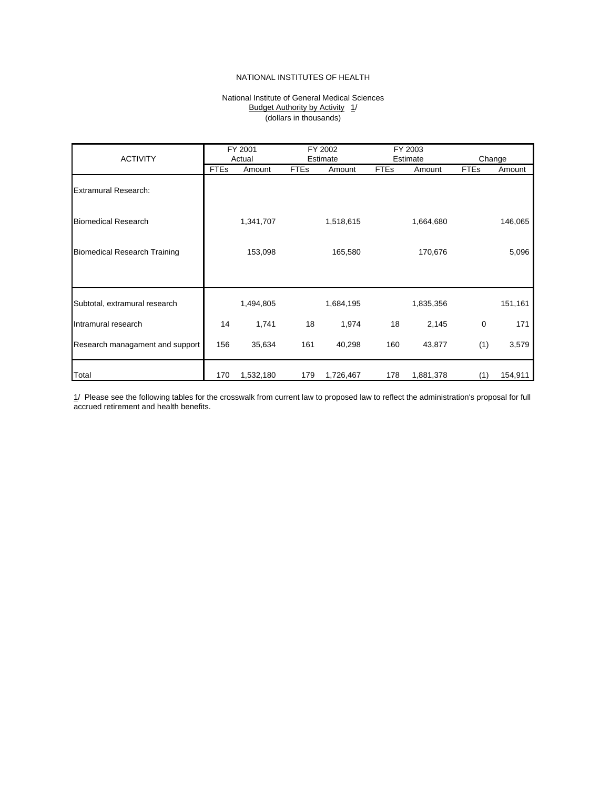#### Budget Authority by Activity 1/ National Institute of General Medical Sciences (dollars in thousands)

<span id="page-30-0"></span>

|                                     |             | FY 2001   |             | FY 2002   |             | FY 2003   |             |         |
|-------------------------------------|-------------|-----------|-------------|-----------|-------------|-----------|-------------|---------|
| <b>ACTIVITY</b>                     | Actual      |           | Estimate    |           | Estimate    |           | Change      |         |
|                                     | <b>FTEs</b> | Amount    | <b>FTEs</b> | Amount    | <b>FTEs</b> | Amount    | <b>FTEs</b> | Amount  |
| <b>Extramural Research:</b>         |             |           |             |           |             |           |             |         |
| <b>Biomedical Research</b>          |             | 1,341,707 |             | 1,518,615 |             | 1,664,680 |             | 146,065 |
| <b>Biomedical Research Training</b> |             | 153,098   |             | 165,580   |             | 170,676   |             | 5,096   |
|                                     |             |           |             |           |             |           |             |         |
| Subtotal, extramural research       |             | 1,494,805 |             | 1,684,195 |             | 1,835,356 |             | 151,161 |
| Intramural research                 | 14          | 1,741     | 18          | 1,974     | 18          | 2,145     | 0           | 171     |
| Research managament and support     | 156         | 35,634    | 161         | 40,298    | 160         | 43,877    | (1)         | 3,579   |
| Total                               | 170         | 1,532,180 | 179         | 1,726,467 | 178         | 1,881,378 | (1)         | 154,911 |

1/ Please see the following tables for the crosswalk from current law to proposed law to reflect the administration's proposal for full accrued retirement and health benefits.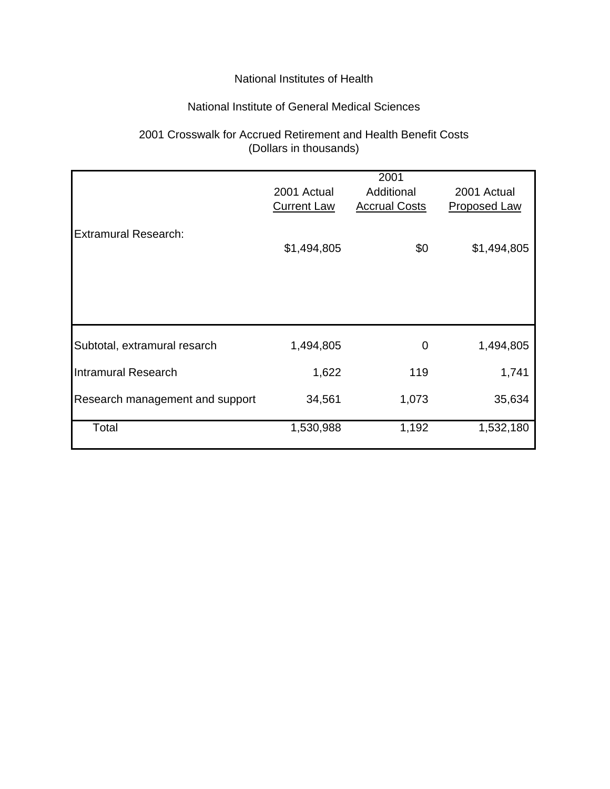### National Institute of General Medical Sciences

# 2001 Crosswalk for Accrued Retirement and Health Benefit Costs (Dollars in thousands)

|                                 | 2001 Actual<br><b>Current Law</b> | 2001<br>Additional<br><b>Accrual Costs</b> | 2001 Actual<br><b>Proposed Law</b> |
|---------------------------------|-----------------------------------|--------------------------------------------|------------------------------------|
| <b>Extramural Research:</b>     | \$1,494,805                       | \$0                                        | \$1,494,805                        |
|                                 |                                   |                                            |                                    |
| Subtotal, extramural resarch    | 1,494,805                         | 0                                          | 1,494,805                          |
| <b>Intramural Research</b>      | 1,622                             | 119                                        | 1,741                              |
| Research management and support | 34,561                            | 1,073                                      | 35,634                             |
| Total                           | 1,530,988                         | 1,192                                      | 1,532,180                          |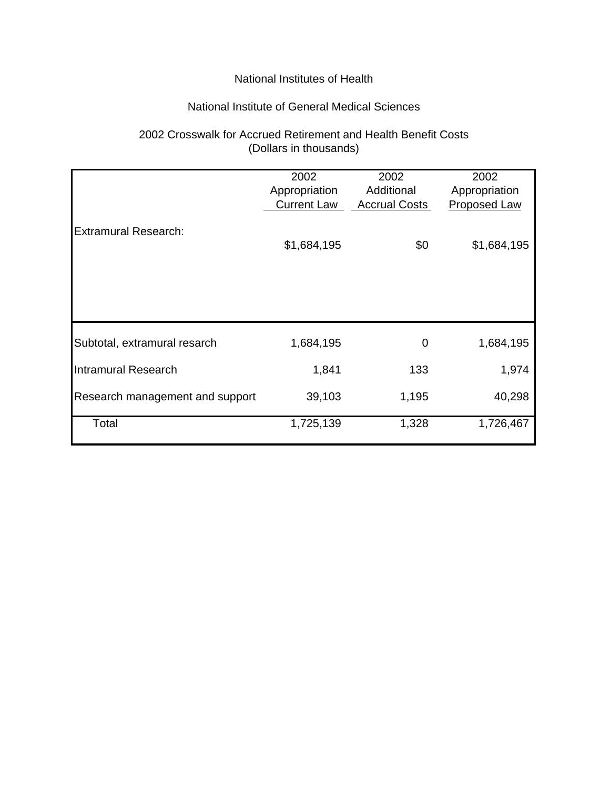### National Institute of General Medical Sciences

# 2002 Crosswalk for Accrued Retirement and Health Benefit Costs (Dollars in thousands)

|                                 | 2002               | 2002                 | 2002                |
|---------------------------------|--------------------|----------------------|---------------------|
|                                 | Appropriation      | Additional           | Appropriation       |
|                                 | <b>Current Law</b> | <b>Accrual Costs</b> | <b>Proposed Law</b> |
|                                 |                    |                      |                     |
| <b>Extramural Research:</b>     |                    |                      |                     |
|                                 | \$1,684,195        | \$0                  | \$1,684,195         |
|                                 |                    |                      |                     |
|                                 |                    |                      |                     |
|                                 |                    |                      |                     |
|                                 |                    |                      |                     |
|                                 |                    |                      |                     |
|                                 |                    |                      |                     |
| Subtotal, extramural resarch    | 1,684,195          | 0                    | 1,684,195           |
|                                 |                    |                      |                     |
| Intramural Research             | 1,841              | 133                  | 1,974               |
|                                 |                    |                      |                     |
| Research management and support | 39,103             | 1,195                | 40,298              |
|                                 |                    |                      |                     |
| Total                           | 1,725,139          | 1,328                | 1,726,467           |
|                                 |                    |                      |                     |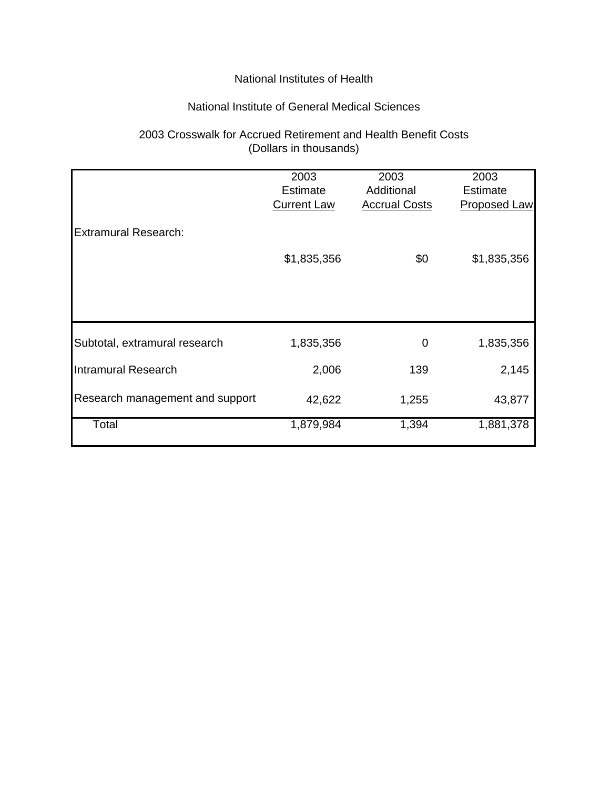### National Institute of General Medical Sciences

# 2003 Crosswalk for Accrued Retirement and Health Benefit Costs (Dollars in thousands)

|                                 | 2003               | 2003                 | 2003                |
|---------------------------------|--------------------|----------------------|---------------------|
|                                 | Estimate           | Additional           | Estimate            |
|                                 | <b>Current Law</b> | <b>Accrual Costs</b> | <b>Proposed Law</b> |
|                                 |                    |                      |                     |
| <b>Extramural Research:</b>     |                    |                      |                     |
|                                 |                    |                      |                     |
|                                 | \$1,835,356        | \$0                  | \$1,835,356         |
|                                 |                    |                      |                     |
|                                 |                    |                      |                     |
|                                 |                    |                      |                     |
|                                 |                    |                      |                     |
| Subtotal, extramural research   | 1,835,356          | 0                    | 1,835,356           |
|                                 |                    |                      |                     |
| <b>Intramural Research</b>      | 2,006              | 139                  | 2,145               |
|                                 |                    |                      |                     |
| Research management and support | 42,622             | 1,255                | 43,877              |
|                                 |                    |                      |                     |
| Total                           | 1,879,984          | 1,394                | 1,881,378           |
|                                 |                    |                      |                     |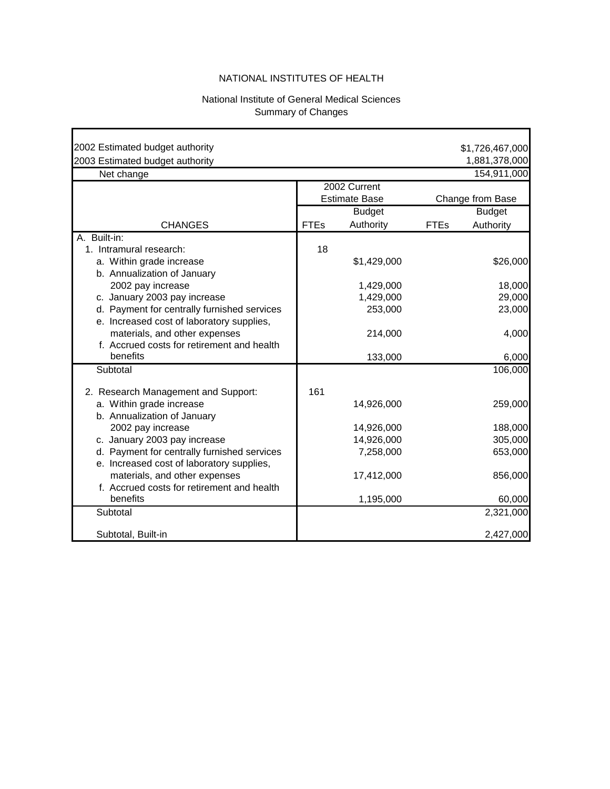#### National Institute of General Medical Sciences Summary of Changes

<span id="page-34-0"></span>

| 2002 Estimated budget authority                                                          |             |                                      |             | \$1,726,467,000  |
|------------------------------------------------------------------------------------------|-------------|--------------------------------------|-------------|------------------|
| 2003 Estimated budget authority                                                          |             |                                      |             | 1,881,378,000    |
| Net change                                                                               |             |                                      |             | 154,911,000      |
|                                                                                          |             | 2002 Current<br><b>Estimate Base</b> |             | Change from Base |
|                                                                                          |             | <b>Budget</b>                        |             | <b>Budget</b>    |
| <b>CHANGES</b>                                                                           | <b>FTEs</b> | Authority                            | <b>FTEs</b> | Authority        |
| A. Built-in:<br>1. Intramural research:                                                  | 18          |                                      |             |                  |
| a. Within grade increase<br>b. Annualization of January                                  |             | \$1,429,000                          |             | \$26,000         |
| 2002 pay increase                                                                        |             | 1,429,000                            |             | 18,000           |
| c. January 2003 pay increase                                                             |             | 1,429,000                            |             | 29,000           |
| d. Payment for centrally furnished services<br>e. Increased cost of laboratory supplies, |             | 253,000                              |             | 23,000           |
| materials, and other expenses<br>f. Accrued costs for retirement and health              |             | 214,000                              |             | 4,000            |
| benefits                                                                                 |             | 133,000                              |             | 6,000            |
| Subtotal                                                                                 |             |                                      |             | 106,000          |
| 2. Research Management and Support:                                                      | 161         |                                      |             |                  |
| a. Within grade increase<br>b. Annualization of January                                  |             | 14,926,000                           |             | 259,000          |
| 2002 pay increase                                                                        |             | 14,926,000                           |             | 188,000          |
| c. January 2003 pay increase                                                             |             | 14,926,000                           |             | 305,000          |
| d. Payment for centrally furnished services<br>e. Increased cost of laboratory supplies, |             | 7,258,000                            |             | 653,000          |
| materials, and other expenses<br>f. Accrued costs for retirement and health              |             | 17,412,000                           |             | 856,000          |
| benefits                                                                                 |             | 1,195,000                            |             | 60,000           |
| Subtotal                                                                                 |             |                                      |             | 2,321,000        |
| Subtotal, Built-in                                                                       |             |                                      |             | 2,427,000        |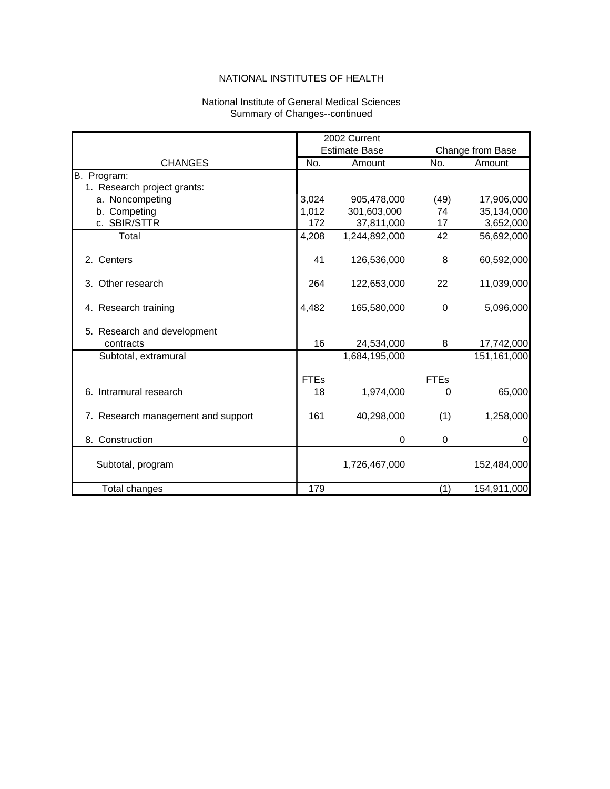#### National Institute of General Medical Sciences Summary of Changes--continued

|                                    |             | 2002 Current         |             |                  |
|------------------------------------|-------------|----------------------|-------------|------------------|
|                                    |             | <b>Estimate Base</b> |             | Change from Base |
| <b>CHANGES</b>                     | No.         | Amount               | No.         | Amount           |
| B. Program:                        |             |                      |             |                  |
| 1. Research project grants:        |             |                      |             |                  |
| a. Noncompeting                    | 3,024       | 905,478,000          | (49)        | 17,906,000       |
| b. Competing                       | 1,012       | 301,603,000          | 74          | 35,134,000       |
| c. SBIR/STTR                       | 172         | 37,811,000           | 17          | 3,652,000        |
| Total                              | 4,208       | 1,244,892,000        | 42          | 56,692,000       |
| 2. Centers                         | 41          | 126,536,000          | 8           | 60,592,000       |
| 3. Other research                  | 264         | 122,653,000          | 22          | 11,039,000       |
| 4. Research training               | 4,482       | 165,580,000          | $\Omega$    | 5,096,000        |
| 5. Research and development        |             |                      |             |                  |
| contracts                          | 16          | 24,534,000           | 8           | 17,742,000       |
| Subtotal, extramural               |             | 1,684,195,000        |             | 151,161,000      |
|                                    | <b>FTEs</b> |                      | <b>FTEs</b> |                  |
| 6. Intramural research             | 18          | 1,974,000            | 0           | 65,000           |
| 7. Research management and support | 161         | 40,298,000           | (1)         | 1,258,000        |
| 8. Construction                    |             | 0                    | 0           | 0                |
| Subtotal, program                  |             | 1,726,467,000        |             | 152,484,000      |
| Total changes                      | 179         |                      | (1)         | 154,911,000      |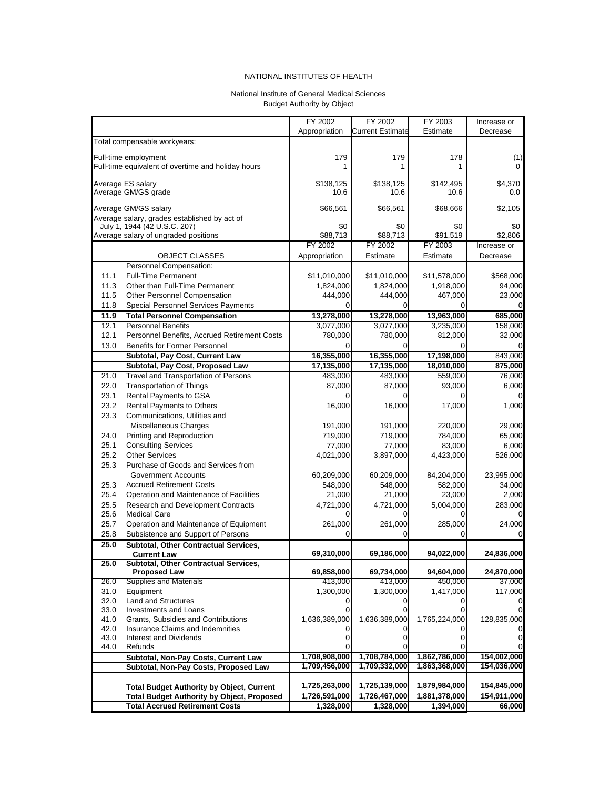#### National Institute of General Medical Sciences Budget Authority by Object

<span id="page-36-0"></span>

|              |                                                                               | FY 2002        | FY 2002                 | FY 2003       | Increase or |
|--------------|-------------------------------------------------------------------------------|----------------|-------------------------|---------------|-------------|
|              |                                                                               | Appropriation  | <b>Current Estimate</b> | Estimate      | Decrease    |
|              | Total compensable workyears:                                                  |                |                         |               |             |
|              |                                                                               |                |                         |               |             |
|              | Full-time employment<br>Full-time equivalent of overtime and holiday hours    | 179            | 179<br>1                | 178<br>1      | (1)         |
|              |                                                                               |                |                         |               |             |
|              | Average ES salary                                                             | \$138,125      | \$138,125               | \$142,495     | \$4,370     |
|              | Average GM/GS grade                                                           | 10.6           | 10.6                    | 10.6          | 0.0         |
|              | Average GM/GS salary                                                          |                |                         |               |             |
|              | Average salary, grades established by act of                                  | \$66,561       | \$66,561                | \$68,666      | \$2,105     |
|              | July 1, 1944 (42 U.S.C. 207)                                                  | \$0            | \$0                     | \$0           | \$0         |
|              | Average salary of ungraded positions                                          | \$88,713       | \$88,713                | \$91,519      | \$2,806     |
|              |                                                                               | FY 2002        | FY 2002                 | FY 2003       | Increase or |
|              | <b>OBJECT CLASSES</b>                                                         | Appropriation  | Estimate                | Estimate      | Decrease    |
|              | Personnel Compensation:                                                       |                |                         |               |             |
| 11.1         | <b>Full-Time Permanent</b>                                                    | \$11,010,000   | \$11,010,000            | \$11,578,000  | \$568,000   |
| 11.3         | Other than Full-Time Permanent                                                | 1,824,000      | 1,824,000               | 1,918,000     | 94,000      |
| 11.5         | <b>Other Personnel Compensation</b>                                           | 444,000        | 444,000                 | 467,000       | 23,000      |
| 11.8         | <b>Special Personnel Services Payments</b>                                    | $\Omega$       |                         |               |             |
| 11.9         | <b>Total Personnel Compensation</b>                                           | 13,278,000     | 13,278,000              | 13,963,000    | 685,000     |
| 12.1         | <b>Personnel Benefits</b>                                                     | 3,077,000      | 3,077,000               | 3,235,000     | 158,000     |
| 12.1         | Personnel Benefits, Accrued Retirement Costs                                  | 780,000        | 780,000                 | 812,000       | 32,000      |
| 13.0         | <b>Benefits for Former Personnel</b>                                          |                |                         |               |             |
|              | Subtotal, Pay Cost, Current Law                                               | 16,355,000     | 16,355,000              | 17,198,000    | 843,000     |
|              | Subtotal, Pay Cost, Proposed Law                                              | 17,135,000     | 17,135,000              | 18,010,000    | 875,000     |
| 21.0         | Travel and Transportation of Persons                                          | 483,000        | 483,000                 | 559.000       | 76,000      |
| 22.0         | <b>Transportation of Things</b>                                               | 87,000         | 87,000                  | 93,000        | 6,000       |
| 23.1         | Rental Payments to GSA                                                        |                |                         |               |             |
| 23.2         | Rental Payments to Others                                                     | 16,000         | 16,000                  | 17,000        | 1,000       |
| 23.3         | Communications, Utilities and                                                 |                |                         |               |             |
|              | Miscellaneous Charges                                                         | 191,000        | 191,000                 | 220,000       | 29,000      |
| 24.0         | Printing and Reproduction                                                     | 719,000        | 719,000                 | 784,000       | 65,000      |
| 25.1         | <b>Consulting Services</b>                                                    | 77,000         | 77,000                  | 83,000        | 6,000       |
| 25.2         | <b>Other Services</b>                                                         | 4,021,000      | 3,897,000               | 4,423,000     | 526,000     |
| 25.3         | Purchase of Goods and Services from                                           |                |                         |               |             |
|              | <b>Government Accounts</b>                                                    | 60,209,000     | 60,209,000              | 84,204,000    | 23,995,000  |
| 25.3         | <b>Accrued Retirement Costs</b>                                               | 548,000        | 548,000                 | 582,000       | 34,000      |
| 25.4         | Operation and Maintenance of Facilities                                       | 21,000         | 21,000                  | 23,000        | 2,000       |
| 25.5         | Research and Development Contracts                                            | 4,721,000      | 4,721,000               | 5,004,000     | 283,000     |
| 25.6<br>25.7 | <b>Medical Care</b><br>Operation and Maintenance of Equipment                 |                |                         |               |             |
| 25.8         | Subsistence and Support of Persons                                            | 261,000<br>O   | 261,000                 | 285,000       | 24,000      |
| 25.0         | Subtotal, Other Contractual Services,                                         |                |                         |               |             |
|              | <b>Current Law</b>                                                            | 69,310,000     | 69,186,000              | 94,022,000    | 24,836,000  |
| 25.0         | Subtotal, Other Contractual Services,                                         |                |                         |               |             |
|              | <b>Proposed Law</b>                                                           | 69,858,000     | 69,734,000              | 94,604,000    | 24,870,000  |
| 26.0         | <b>Supplies and Materials</b>                                                 | 413,000        | 413,000                 | 450,000       | 37,000      |
| 31.0         | Equipment                                                                     | 1,300,000      | 1,300,000               | 1,417,000     | 117,000     |
| 32.0         | Land and Structures                                                           | $\overline{0}$ |                         | 0             |             |
| 33.0         | Investments and Loans                                                         |                |                         |               |             |
| 41.0         | Grants, Subsidies and Contributions                                           | 1,636,389,000  | 1,636,389,000           | 1,765,224,000 | 128,835,000 |
| 42.0         | Insurance Claims and Indemnities                                              |                |                         |               |             |
| 43.0<br>44.0 | <b>Interest and Dividends</b><br>Refunds                                      | $\Omega$       |                         | 0             | 0           |
|              |                                                                               | 1,708,908,000  | 1,708,784,000           | 1,862,786,000 | 154,002,000 |
|              | Subtotal, Non-Pay Costs, Current Law<br>Subtotal, Non-Pay Costs, Proposed Law | 1,709,456,000  | 1,709,332,000           | 1,863,368,000 | 154,036,000 |
|              |                                                                               |                |                         |               |             |
|              | <b>Total Budget Authority by Object, Current</b>                              | 1,725,263,000  | 1,725,139,000           | 1,879,984,000 | 154,845,000 |
|              | <b>Total Budget Authority by Object, Proposed</b>                             | 1,726,591,000  | 1,726,467,000           | 1,881,378,000 | 154,911,000 |
|              | <b>Total Accrued Retirement Costs</b>                                         | 1,328,000      | 1,328,000               | 1,394,000     | 66,000      |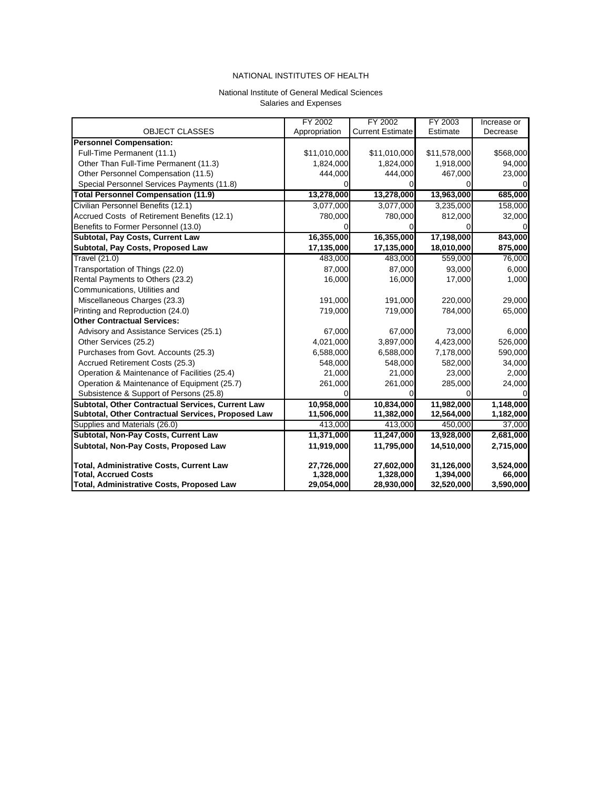#### National Institute of General Medical Sciences Salaries and Expenses

<span id="page-37-0"></span>

|                                                    | FY 2002       | FY 2002                 | FY 2003      | Increase or |
|----------------------------------------------------|---------------|-------------------------|--------------|-------------|
| <b>OBJECT CLASSES</b>                              | Appropriation | <b>Current Estimate</b> | Estimate     | Decrease    |
| <b>Personnel Compensation:</b>                     |               |                         |              |             |
| Full-Time Permanent (11.1)                         | \$11,010,000  | \$11,010,000            | \$11,578,000 | \$568,000   |
| Other Than Full-Time Permanent (11.3)              | 1,824,000     | 1,824,000               | 1,918,000    | 94,000      |
| Other Personnel Compensation (11.5)                | 444,000       | 444,000                 | 467,000      | 23,000      |
| Special Personnel Services Payments (11.8)         |               |                         |              | 0           |
| <b>Total Personnel Compensation (11.9)</b>         | 13,278,000    | 13,278,000              | 13,963,000   | 685,000     |
| Civilian Personnel Benefits (12.1)                 | 3,077,000     | 3,077,000               | 3,235,000    | 158,000     |
| Accrued Costs of Retirement Benefits (12.1)        | 780,000       | 780,000                 | 812,000      | 32,000      |
| Benefits to Former Personnel (13.0)                |               |                         |              | $\mathbf 0$ |
| Subtotal, Pay Costs, Current Law                   | 16,355,000    | 16,355,000              | 17,198,000   | 843,000     |
| Subtotal, Pay Costs, Proposed Law                  | 17,135,000    | 17,135,000              | 18,010,000   | 875,000     |
| Travel (21.0)                                      | 483,000       | 483,000                 | 559,000      | 76,000      |
| Transportation of Things (22.0)                    | 87,000        | 87,000                  | 93,000       | 6,000       |
| Rental Payments to Others (23.2)                   | 16,000        | 16,000                  | 17,000       | 1,000       |
| Communications, Utilities and                      |               |                         |              |             |
| Miscellaneous Charges (23.3)                       | 191,000       | 191.000                 | 220,000      | 29,000      |
| Printing and Reproduction (24.0)                   | 719,000       | 719,000                 | 784,000      | 65,000      |
| <b>Other Contractual Services:</b>                 |               |                         |              |             |
| Advisory and Assistance Services (25.1)            | 67,000        | 67.000                  | 73,000       | 6,000       |
| Other Services (25.2)                              | 4,021,000     | 3,897,000               | 4,423,000    | 526,000     |
| Purchases from Govt. Accounts (25.3)               | 6,588,000     | 6,588,000               | 7,178,000    | 590,000     |
| Accrued Retirement Costs (25.3)                    | 548,000       | 548,000                 | 582,000      | 34,000      |
| Operation & Maintenance of Facilities (25.4)       | 21,000        | 21,000                  | 23,000       | 2,000       |
| Operation & Maintenance of Equipment (25.7)        | 261,000       | 261,000                 | 285,000      | 24,000      |
| Subsistence & Support of Persons (25.8)            |               |                         |              | $\Omega$    |
| Subtotal, Other Contractual Services, Current Law  | 10,958,000    | 10,834,000              | 11,982,000   | 1,148,000   |
| Subtotal, Other Contractual Services, Proposed Law | 11,506,000    | 11,382,000              | 12,564,000   | 1,182,000   |
| Supplies and Materials (26.0)                      | 413,000       | 413,000                 | 450,000      | 37,000      |
| Subtotal, Non-Pay Costs, Current Law               | 11,371,000    | 11,247,000              | 13,928,000   | 2,681,000   |
| Subtotal, Non-Pay Costs, Proposed Law              | 11,919,000    | 11,795,000              | 14,510,000   | 2,715,000   |
|                                                    |               |                         |              |             |
| <b>Total, Administrative Costs, Current Law</b>    | 27,726,000    | 27,602,000              | 31,126,000   | 3,524,000   |
| <b>Total, Accrued Costs</b>                        | 1,328,000     | 1,328,000               | 1,394,000    | 66,000      |
| <b>Total, Administrative Costs, Proposed Law</b>   | 29,054,000    | 28,930,000              | 32,520,000   | 3,590,000   |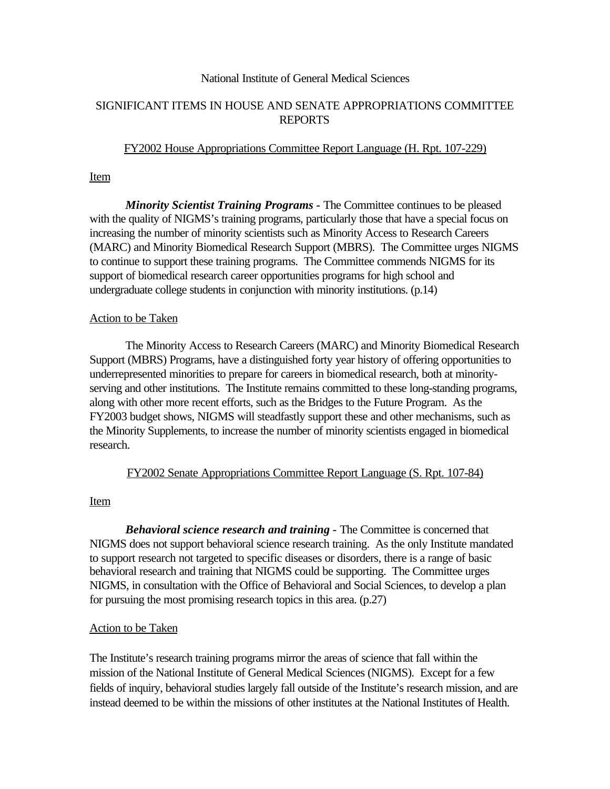#### National Institute of General Medical Sciences

### SIGNIFICANT ITEMS IN HOUSE AND SENATE APPROPRIATIONS COMMITTEE REPORTS

#### FY2002 House Appropriations Committee Report Language (H. Rpt. 107-229)

#### Item

*Minority Scientist Training Programs -* The Committee continues to be pleased with the quality of NIGMS's training programs, particularly those that have a special focus on increasing the number of minority scientists such as Minority Access to Research Careers (MARC) and Minority Biomedical Research Support (MBRS). The Committee urges NIGMS to continue to support these training programs. The Committee commends NIGMS for its support of biomedical research career opportunities programs for high school and undergraduate college students in conjunction with minority institutions. (p.14)

#### Action to be Taken

The Minority Access to Research Careers (MARC) and Minority Biomedical Research Support (MBRS) Programs, have a distinguished forty year history of offering opportunities to underrepresented minorities to prepare for careers in biomedical research, both at minorityserving and other institutions. The Institute remains committed to these long-standing programs, along with other more recent efforts, such as the Bridges to the Future Program. As the FY2003 budget shows, NIGMS will steadfastly support these and other mechanisms, such as the Minority Supplements, to increase the number of minority scientists engaged in biomedical research.

### FY2002 Senate Appropriations Committee Report Language (S. Rpt. 107-84)

### Item

*Behavioral science research and training -* The Committee is concerned that NIGMS does not support behavioral science research training. As the only Institute mandated to support research not targeted to specific diseases or disorders, there is a range of basic behavioral research and training that NIGMS could be supporting. The Committee urges NIGMS, in consultation with the Office of Behavioral and Social Sciences, to develop a plan for pursuing the most promising research topics in this area. (p.27)

### Action to be Taken

The Institute's research training programs mirror the areas of science that fall within the mission of the National Institute of General Medical Sciences (NIGMS). Except for a few fields of inquiry, behavioral studies largely fall outside of the Institute's research mission, and are instead deemed to be within the missions of other institutes at the National Institutes of Health.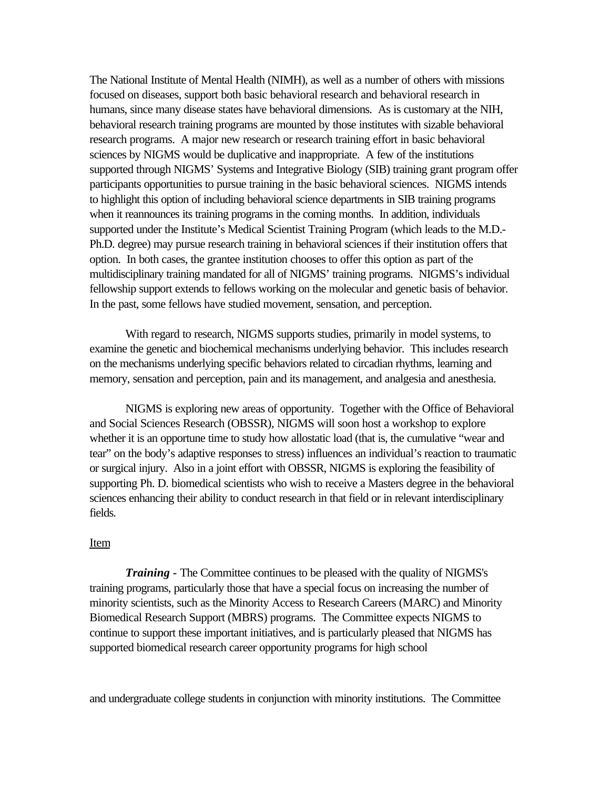The National Institute of Mental Health (NIMH), as well as a number of others with missions focused on diseases, support both basic behavioral research and behavioral research in humans, since many disease states have behavioral dimensions. As is customary at the NIH, behavioral research training programs are mounted by those institutes with sizable behavioral research programs. A major new research or research training effort in basic behavioral sciences by NIGMS would be duplicative and inappropriate. A few of the institutions supported through NIGMS' Systems and Integrative Biology (SIB) training grant program offer participants opportunities to pursue training in the basic behavioral sciences. NIGMS intends to highlight this option of including behavioral science departments in SIB training programs when it reannounces its training programs in the coming months. In addition, individuals supported under the Institute's Medical Scientist Training Program (which leads to the M.D. Ph.D. degree) may pursue research training in behavioral sciences if their institution offers that option. In both cases, the grantee institution chooses to offer this option as part of the multidisciplinary training mandated for all of NIGMS' training programs. NIGMS's individual fellowship support extends to fellows working on the molecular and genetic basis of behavior. In the past, some fellows have studied movement, sensation, and perception.

With regard to research, NIGMS supports studies, primarily in model systems, to examine the genetic and biochemical mechanisms underlying behavior. This includes research on the mechanisms underlying specific behaviors related to circadian rhythms, learning and memory, sensation and perception, pain and its management, and analgesia and anesthesia.

NIGMS is exploring new areas of opportunity. Together with the Office of Behavioral and Social Sciences Research (OBSSR), NIGMS will soon host a workshop to explore whether it is an opportune time to study how allostatic load (that is, the cumulative "wear and tear" on the body's adaptive responses to stress) influences an individual's reaction to traumatic or surgical injury. Also in a joint effort with OBSSR, NIGMS is exploring the feasibility of supporting Ph. D. biomedical scientists who wish to receive a Masters degree in the behavioral sciences enhancing their ability to conduct research in that field or in relevant interdisciplinary fields.

#### Item

*Training -* The Committee continues to be pleased with the quality of NIGMS's training programs, particularly those that have a special focus on increasing the number of minority scientists, such as the Minority Access to Research Careers (MARC) and Minority Biomedical Research Support (MBRS) programs. The Committee expects NIGMS to continue to support these important initiatives, and is particularly pleased that NIGMS has supported biomedical research career opportunity programs for high school

and undergraduate college students in conjunction with minority institutions. The Committee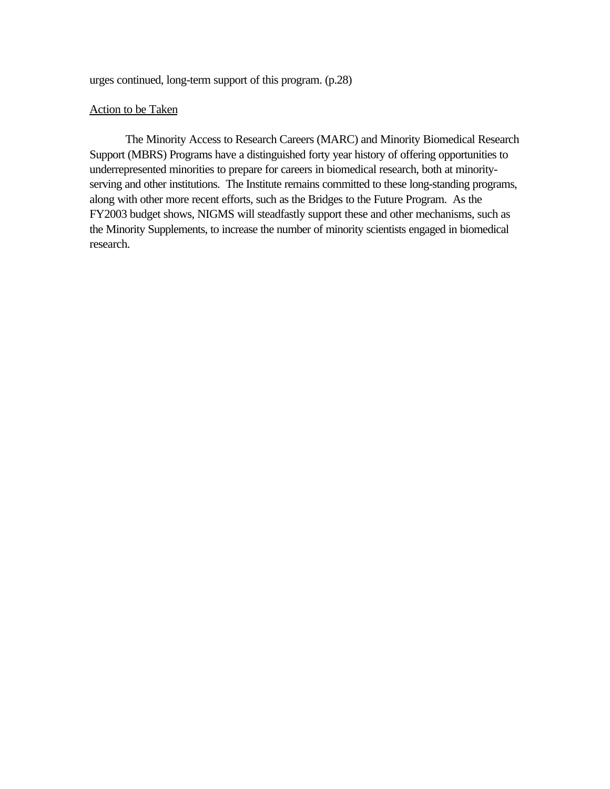urges continued, long-term support of this program. (p.28)

#### Action to be Taken

The Minority Access to Research Careers (MARC) and Minority Biomedical Research Support (MBRS) Programs have a distinguished forty year history of offering opportunities to underrepresented minorities to prepare for careers in biomedical research, both at minorityserving and other institutions. The Institute remains committed to these long-standing programs, along with other more recent efforts, such as the Bridges to the Future Program. As the FY2003 budget shows, NIGMS will steadfastly support these and other mechanisms, such as the Minority Supplements, to increase the number of minority scientists engaged in biomedical research.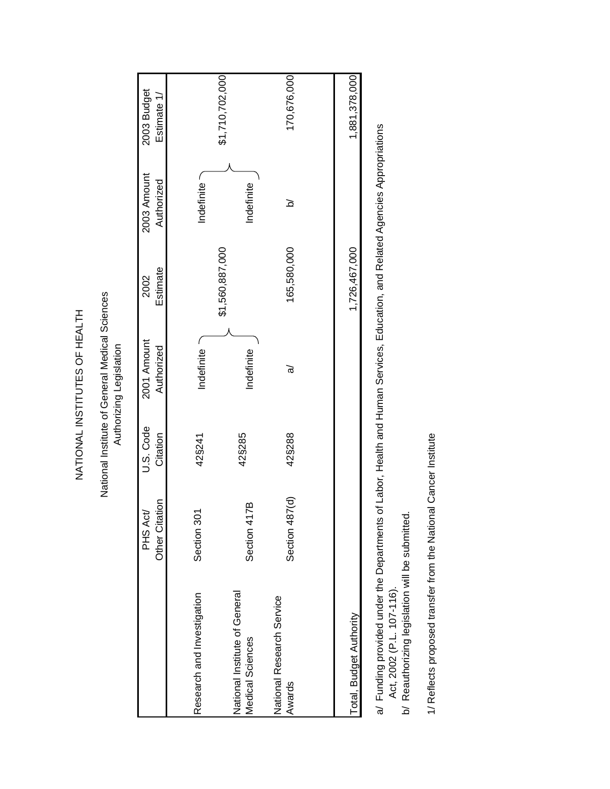NATIONAL INSTITUTES OF HEALTH NATIONAL INSTITUTES OF HEALTH National Institute of General Medical Sciences Authorizing Legislation

<span id="page-41-0"></span>

|                                                   | Other Citation<br>PHS Act/ | U.S. Code<br>Citation | 2001 Amount<br>Authorized | Estimate<br>2002 | 2003 Amount<br>Authorized | 2003 Budget<br>Estimate 1/ |
|---------------------------------------------------|----------------------------|-----------------------|---------------------------|------------------|---------------------------|----------------------------|
| Research and Investigation                        | Section 30                 | 42§241                | Indefinite ~              | \$1,560,887,000  | Indefinite                | \$1,710,702,000            |
| National Institute of General<br>Medical Sciences | ЙZ<br>Section 41           | 42§285                | Indefinite                |                  | Indefinite                |                            |
| National Research Service<br>Awards               | Section 487(d)             | 42§288                | ত্ত                       | 165,580,000      | <u>হ</u>                  | 170,676,000                |
|                                                   |                            |                       |                           |                  |                           |                            |
| Total, Budget Authority                           |                            |                       |                           | 1,726,467,000    |                           | 1,881,378,000              |

- a/ Funding provided under the Departments of Labor, Health and Human Services, Education, and Related Agencies Appropriations<br>Act, 2002 (P.L. 107-116). a/ Funding provided under the Departments of Labor, Health and Human Services, Education, and Related Agencies Appropriations Act, 2002 (P.L. 107-116).
	- b/ Reauthorizing legislation will be submitted. b/ Reauthorizing legislation will be submitted.

1/ Reflects proposed transfer from the National Cancer Institute 1/ Reflects proposed transfer from the National Cancer Institute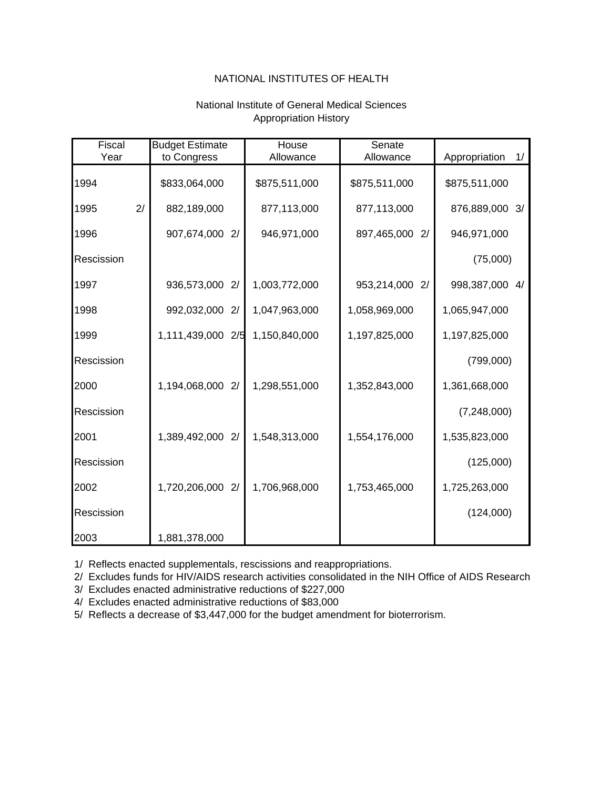### National Institute of General Medical Sciences Appropriation History

<span id="page-42-0"></span>

| Fiscal     | <b>Budget Estimate</b> | House         | Senate            |                     |
|------------|------------------------|---------------|-------------------|---------------------|
| Year       | to Congress            | Allowance     | Allowance         | Appropriation<br>1/ |
| 1994       | \$833,064,000          | \$875,511,000 | \$875,511,000     | \$875,511,000       |
| 2/<br>1995 | 882,189,000            | 877,113,000   | 877,113,000       | 876,889,000 3/      |
| 1996       | 907,674,000 2/         | 946,971,000   | 897,465,000<br>2/ | 946,971,000         |
| Rescission |                        |               |                   | (75,000)            |
| 1997       | 936,573,000 2/         | 1,003,772,000 | 953,214,000<br>2/ | 998,387,000 4/      |
| 1998       | 992,032,000 2/         | 1,047,963,000 | 1,058,969,000     | 1,065,947,000       |
| 1999       | 1,111,439,000 2/5      | 1,150,840,000 | 1,197,825,000     | 1,197,825,000       |
| Rescission |                        |               |                   | (799,000)           |
| 2000       | 1,194,068,000 2/       | 1,298,551,000 | 1,352,843,000     | 1,361,668,000       |
| Rescission |                        |               |                   | (7,248,000)         |
| 2001       | 1,389,492,000<br>2/    | 1,548,313,000 | 1,554,176,000     | 1,535,823,000       |
| Rescission |                        |               |                   | (125,000)           |
| 2002       | 1,720,206,000 2/       | 1,706,968,000 | 1,753,465,000     | 1,725,263,000       |
| Rescission |                        |               |                   | (124,000)           |
| 2003       | 1,881,378,000          |               |                   |                     |

1/ Reflects enacted supplementals, rescissions and reappropriations.

2/ Excludes funds for HIV/AIDS research activities consolidated in the NIH Office of AIDS Research.

3/ Excludes enacted administrative reductions of \$227,000

4/ Excludes enacted administrative reductions of \$83,000

5/ Reflects a decrease of \$3,447,000 for the budget amendment for bioterrorism.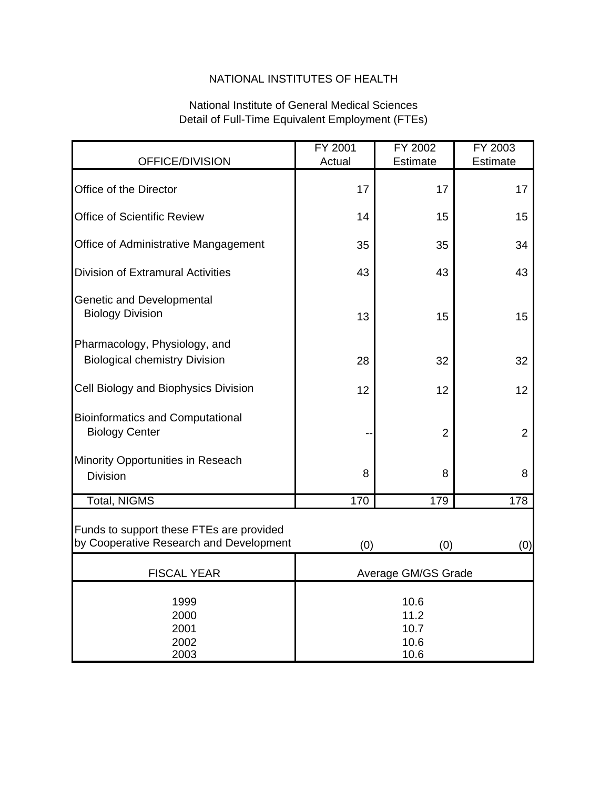# National Institute of General Medical Sciences Detail of Full-Time Equivalent Employment (FTEs)

|                                                                                     | FY 2001                              | FY 2002         | FY 2003         |
|-------------------------------------------------------------------------------------|--------------------------------------|-----------------|-----------------|
| OFFICE/DIVISION                                                                     | Actual                               | <b>Estimate</b> | <b>Estimate</b> |
| Office of the Director                                                              | 17                                   | 17              | 17              |
| <b>Office of Scientific Review</b>                                                  | 14                                   | 15              | 15              |
| Office of Administrative Mangagement                                                | 35                                   | 35              | 34              |
| <b>Division of Extramural Activities</b>                                            | 43                                   | 43              | 43              |
| <b>Genetic and Developmental</b><br><b>Biology Division</b>                         | 13                                   | 15              | 15              |
| Pharmacology, Physiology, and<br><b>Biological chemistry Division</b>               | 28                                   | 32              | 32              |
| Cell Biology and Biophysics Division                                                | 12                                   | 12              | 12              |
| <b>Bioinformatics and Computational</b><br><b>Biology Center</b>                    |                                      | $\overline{2}$  | $\overline{2}$  |
| Minority Opportunities in Reseach<br><b>Division</b>                                | 8                                    | 8               | 8               |
| <b>Total, NIGMS</b>                                                                 | 170                                  | 179             | 178             |
| Funds to support these FTEs are provided<br>by Cooperative Research and Development | (0)                                  | (0)             | (0)             |
| <b>FISCAL YEAR</b>                                                                  | Average GM/GS Grade                  |                 |                 |
| 1999<br>2000<br>2001<br>2002<br>2003                                                | 10.6<br>11.2<br>10.7<br>10.6<br>10.6 |                 |                 |